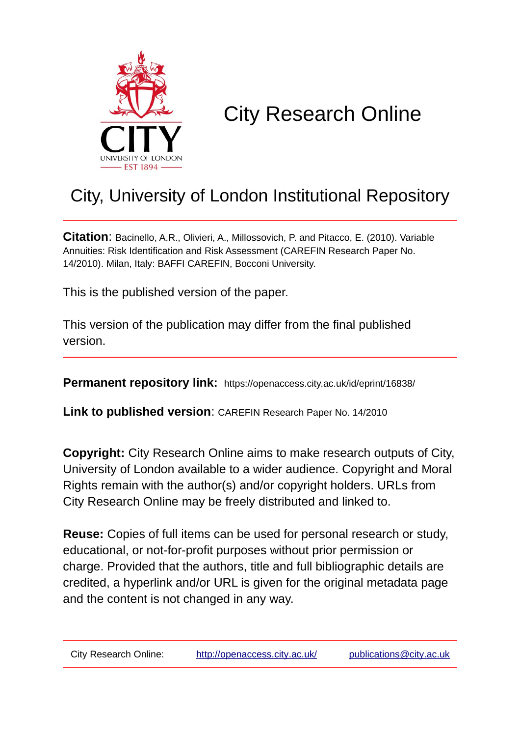

# City Research Online

## City, University of London Institutional Repository

**Citation**: Bacinello, A.R., Olivieri, A., Millossovich, P. and Pitacco, E. (2010). Variable Annuities: Risk Identification and Risk Assessment (CAREFIN Research Paper No. 14/2010). Milan, Italy: BAFFI CAREFIN, Bocconi University.

This is the published version of the paper.

This version of the publication may differ from the final published version.

**Permanent repository link:** https://openaccess.city.ac.uk/id/eprint/16838/

**Link to published version**: CAREFIN Research Paper No. 14/2010

**Copyright:** City Research Online aims to make research outputs of City, University of London available to a wider audience. Copyright and Moral Rights remain with the author(s) and/or copyright holders. URLs from City Research Online may be freely distributed and linked to.

**Reuse:** Copies of full items can be used for personal research or study, educational, or not-for-profit purposes without prior permission or charge. Provided that the authors, title and full bibliographic details are credited, a hyperlink and/or URL is given for the original metadata page and the content is not changed in any way.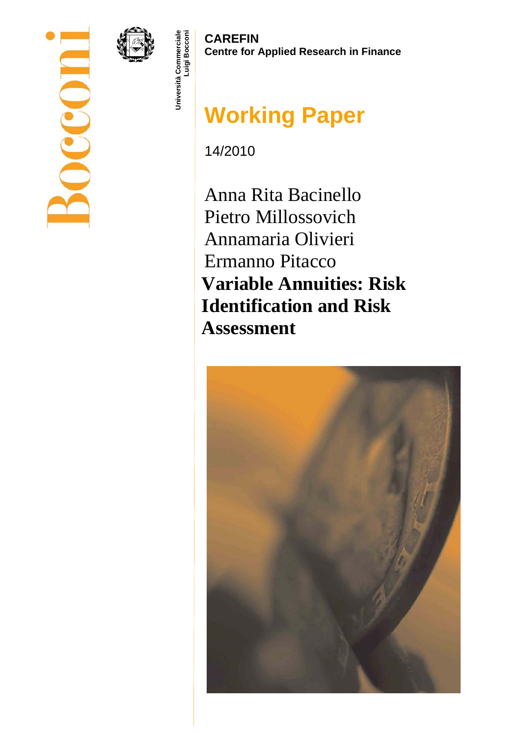



**CAREFIN Centre for Applied Research in Finance** 

# **Working Paper**

14/2010

Anna Rita Bacinello Pietro Millossovich Annamaria Olivieri Ermanno Pitacco **Variable Annuities: Risk Identification and Risk Assessment** 

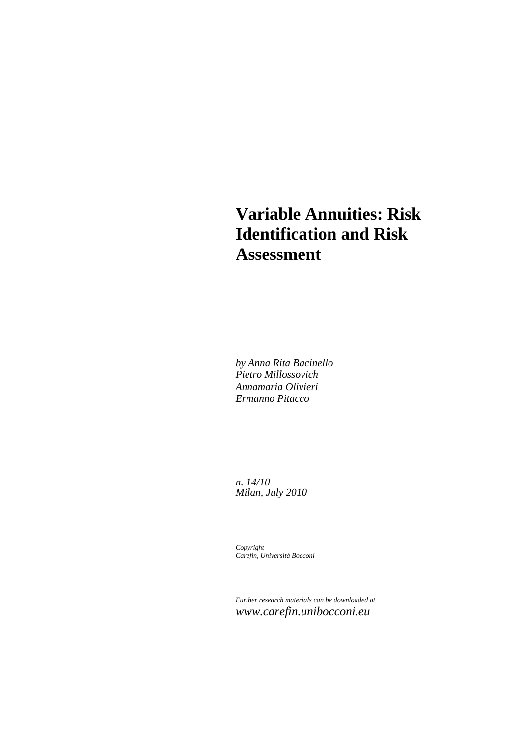## **Variable Annuities: Risk Identification and Risk Assessment**

 *by Anna Rita Bacinello Pietro Millossovich Annamaria Olivieri Ermanno Pitacco* 

*n. 14/10 Milan, July 2010* 

*Copyright Carefin, Università Bocconi* 

*Further research materials can be downloaded at www.carefin.unibocconi.eu*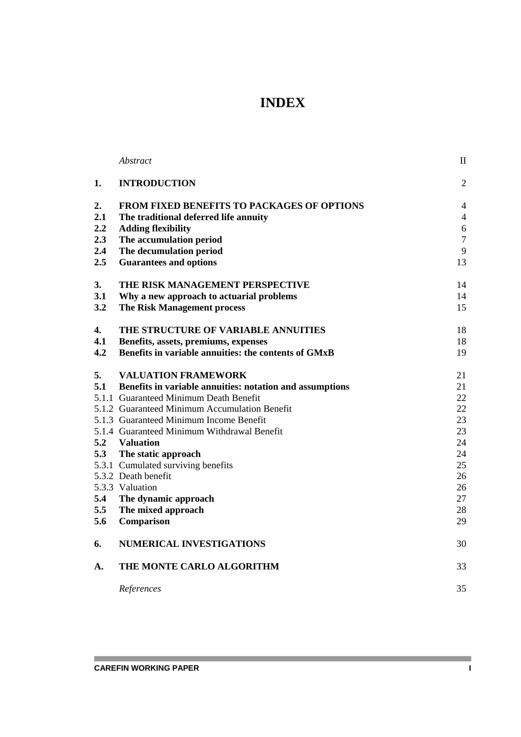## **INDEX**

|            | Abstract                                                 | $\mathbf{I}$   |
|------------|----------------------------------------------------------|----------------|
| 1.         | <b>INTRODUCTION</b>                                      | $\mathbf{2}$   |
| 2.         | <b>FROM FIXED BENEFITS TO PACKAGES OF OPTIONS</b>        | 4              |
| 2.1        | The traditional deferred life annuity                    | $\overline{4}$ |
| 2.2        | <b>Adding flexibility</b>                                | $6\,$          |
| 2.3        | The accumulation period                                  | $\overline{7}$ |
| 2.4        | The decumulation period                                  | 9              |
| 2.5        | <b>Guarantees and options</b>                            | 13             |
| 3.         | THE RISK MANAGEMENT PERSPECTIVE                          | 14             |
| 3.1        | Why a new approach to actuarial problems                 | 14             |
| 3.2        | The Risk Management process                              | 15             |
| 4.         | THE STRUCTURE OF VARIABLE ANNUITIES                      | 18             |
| 4.1        | Benefits, assets, premiums, expenses                     | 18             |
| 4.2        | Benefits in variable annuities: the contents of GMxB     | 19             |
| 5.         | <b>VALUATION FRAMEWORK</b>                               | 21             |
| 5.1        | Benefits in variable annuities: notation and assumptions | 21             |
|            | 5.1.1 Guaranteed Minimum Death Benefit                   | 22             |
|            | 5.1.2 Guaranteed Minimum Accumulation Benefit            | 22             |
|            | 5.1.3 Guaranteed Minimum Income Benefit                  | 23             |
|            | 5.1.4 Guaranteed Minimum Withdrawal Benefit              | 23             |
| 5.2        | <b>Valuation</b>                                         | 24             |
| 5.3        | The static approach                                      | 24             |
|            | 5.3.1 Cumulated surviving benefits                       | 25             |
|            | 5.3.2 Death benefit                                      | 26             |
|            | 5.3.3 Valuation                                          | 26             |
| 5.4<br>5.5 | The dynamic approach                                     | 27             |
| 5.6        | The mixed approach<br>Comparison                         | 28<br>29       |
|            |                                                          |                |
| 6.         | <b>NUMERICAL INVESTIGATIONS</b>                          | 30             |
| A.         | THE MONTE CARLO ALGORITHM                                | 33             |
|            | References                                               | 35             |

п

the control of the control of the control of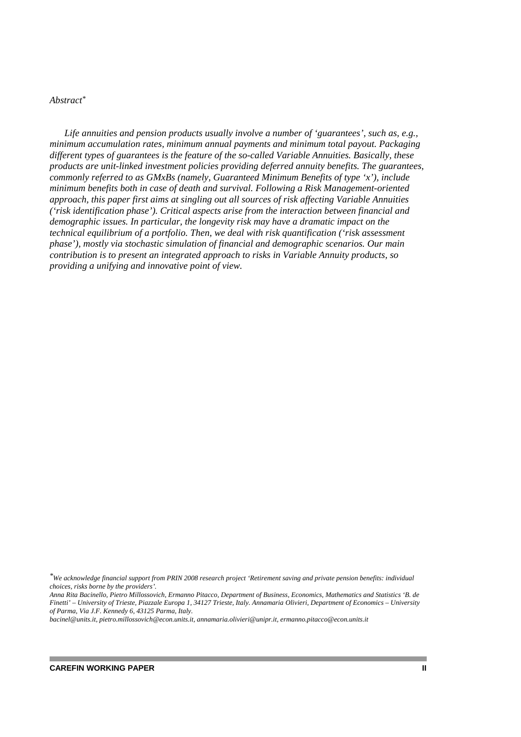#### *Abstract\*†*

*Life annuities and pension products usually involve a number of 'guarantees', such as, e.g., minimum accumulation rates, minimum annual payments and minimum total payout. Packaging different types of guarantees is the feature of the so-called Variable Annuities. Basically, these products are unit-linked investment policies providing deferred annuity benefits. The guarantees, commonly referred to as GMxBs (namely, Guaranteed Minimum Benefits of type 'x'), include minimum benefits both in case of death and survival. Following a Risk Management-oriented approach, this paper first aims at singling out all sources of risk affecting Variable Annuities ('risk identification phase'). Critical aspects arise from the interaction between financial and demographic issues. In particular, the longevity risk may have a dramatic impact on the technical equilibrium of a portfolio. Then, we deal with risk quantification ('risk assessment phase'), mostly via stochastic simulation of financial and demographic scenarios. Our main contribution is to present an integrated approach to risks in Variable Annuity products, so providing a unifying and innovative point of view.* 

*<sup>\*</sup>We acknowledge financial support from PRIN 2008 research project 'Retirement saving and private pension benefits: individual choices, risks borne by the providers'.* 

*Anna Rita Bacinello, Pietro Millossovich, Ermanno Pitacco, Department of Business, Economics, Mathematics and Statistics 'B. de Finetti' – University of Trieste, Piazzale Europa 1, 34127 Trieste, Italy. Annamaria Olivieri, Department of Economics – University of Parma, Via J.F. Kennedy 6, 43125 Parma, Italy.* 

*bacinel@units.it, pietro.millossovich@econ.units.it, annamaria.olivieri@unipr.it, ermanno.pitacco@econ.units.it*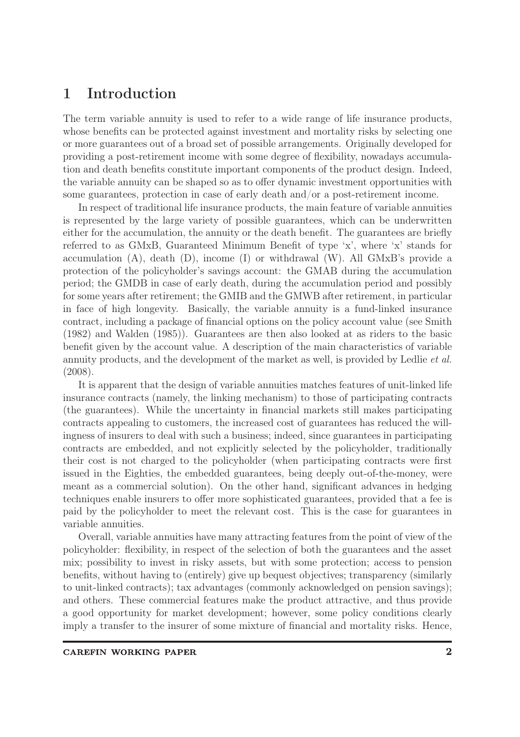## 1 Introduction

The term variable annuity is used to refer to a wide range of life insurance products, whose benefits can be protected against investment and mortality risks by selecting one or more guarantees out of a broad set of possible arrangements. Originally developed for providing a post-retirement income with some degree of flexibility, nowadays accumulation and death benefits constitute important components of the product design. Indeed, the variable annuity can be shaped so as to offer dynamic investment opportunities with some guarantees, protection in case of early death and/or a post-retirement income.

In respect of traditional life insurance products, the main feature of variable annuities is represented by the large variety of possible guarantees, which can be underwritten either for the accumulation, the annuity or the death benefit. The guarantees are briefly referred to as GMxB, Guaranteed Minimum Benefit of type 'x', where 'x' stands for accumulation  $(A)$ , death  $(D)$ , income  $(I)$  or withdrawal  $(W)$ . All GMxB's provide a protection of the policyholder's savings account: the GMAB during the accumulation period; the GMDB in case of early death, during the accumulation period and possibly for some years after retirement; the GMIB and the GMWB after retirement, in particular in face of high longevity. Basically, the variable annuity is a fund-linked insurance contract, including a package of financial options on the policy account value (see Smith (1982) and Walden (1985)). Guarantees are then also looked at as riders to the basic benefit given by the account value. A description of the main characteristics of variable annuity products, and the development of the market as well, is provided by Ledlie *et al.* (2008).

It is apparent that the design of variable annuities matches features of unit-linked life insurance contracts (namely, the linking mechanism) to those of participating contracts (the guarantees). While the uncertainty in financial markets still makes participating contracts appealing to customers, the increased cost of guarantees has reduced the willingness of insurers to deal with such a business; indeed, since guarantees in participating contracts are embedded, and not explicitly selected by the policyholder, traditionally their cost is not charged to the policyholder (when participating contracts were first issued in the Eighties, the embedded guarantees, being deeply out-of-the-money, were meant as a commercial solution). On the other hand, significant advances in hedging techniques enable insurers to offer more sophisticated guarantees, provided that a fee is paid by the policyholder to meet the relevant cost. This is the case for guarantees in variable annuities.

Overall, variable annuities have many attracting features from the point of view of the policyholder: flexibility, in respect of the selection of both the guarantees and the asset mix; possibility to invest in risky assets, but with some protection; access to pension benefits, without having to (entirely) give up bequest objectives; transparency (similarly to unit-linked contracts); tax advantages (commonly acknowledged on pension savings); and others. These commercial features make the product attractive, and thus provide a good opportunity for market development; however, some policy conditions clearly imply a transfer to the insurer of some mixture of financial and mortality risks. Hence,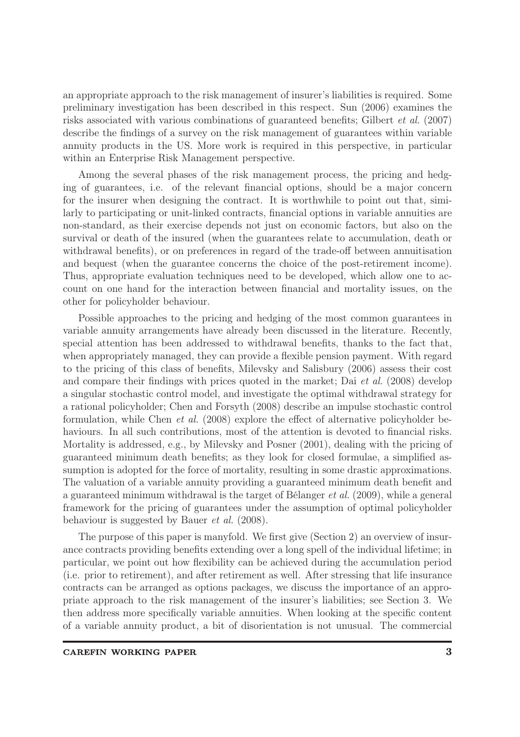an appropriate approach to the risk management of insurer's liabilities is required. Some preliminary investigation has been described in this respect. Sun (2006) examines the risks associated with various combinations of guaranteed benefits; Gilbert *et al.* (2007) describe the findings of a survey on the risk management of guarantees within variable annuity products in the US. More work is required in this perspective, in particular within an Enterprise Risk Management perspective.

Among the several phases of the risk management process, the pricing and hedging of guarantees, i.e. of the relevant financial options, should be a major concern for the insurer when designing the contract. It is worthwhile to point out that, similarly to participating or unit-linked contracts, financial options in variable annuities are non-standard, as their exercise depends not just on economic factors, but also on the survival or death of the insured (when the guarantees relate to accumulation, death or withdrawal benefits), or on preferences in regard of the trade-off between annuitisation and bequest (when the guarantee concerns the choice of the post-retirement income). Thus, appropriate evaluation techniques need to be developed, which allow one to account on one hand for the interaction between financial and mortality issues, on the other for policyholder behaviour.

Possible approaches to the pricing and hedging of the most common guarantees in variable annuity arrangements have already been discussed in the literature. Recently, special attention has been addressed to withdrawal benefits, thanks to the fact that, when appropriately managed, they can provide a flexible pension payment. With regard to the pricing of this class of benefits, Milevsky and Salisbury (2006) assess their cost and compare their findings with prices quoted in the market; Dai *et al.* (2008) develop a singular stochastic control model, and investigate the optimal withdrawal strategy for a rational policyholder; Chen and Forsyth (2008) describe an impulse stochastic control formulation, while Chen *et al.* (2008) explore the effect of alternative policyholder behaviours. In all such contributions, most of the attention is devoted to financial risks. Mortality is addressed, e.g., by Milevsky and Posner (2001), dealing with the pricing of guaranteed minimum death benefits; as they look for closed formulae, a simplified assumption is adopted for the force of mortality, resulting in some drastic approximations. The valuation of a variable annuity providing a guaranteed minimum death benefit and a guaranteed minimum withdrawal is the target of Bélanger *et al.* (2009), while a general framework for the pricing of guarantees under the assumption of optimal policyholder behaviour is suggested by Bauer *et al.* (2008).

The purpose of this paper is manyfold. We first give (Section 2) an overview of insurance contracts providing benefits extending over a long spell of the individual lifetime; in particular, we point out how flexibility can be achieved during the accumulation period (i.e. prior to retirement), and after retirement as well. After stressing that life insurance contracts can be arranged as options packages, we discuss the importance of an appropriate approach to the risk management of the insurer's liabilities; see Section 3. We then address more specifically variable annuities. When looking at the specific content of a variable annuity product, a bit of disorientation is not unusual. The commercial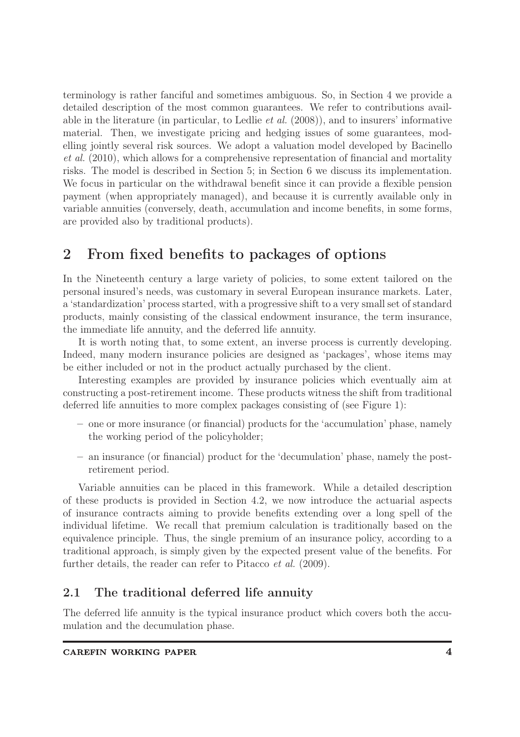terminology is rather fanciful and sometimes ambiguous. So, in Section 4 we provide a detailed description of the most common guarantees. We refer to contributions available in the literature (in particular, to Ledlie *et al.* (2008)), and to insurers' informative material. Then, we investigate pricing and hedging issues of some guarantees, modelling jointly several risk sources. We adopt a valuation model developed by Bacinello *et al.* (2010), which allows for a comprehensive representation of financial and mortality risks. The model is described in Section 5; in Section 6 we discuss its implementation. We focus in particular on the withdrawal benefit since it can provide a flexible pension payment (when appropriately managed), and because it is currently available only in variable annuities (conversely, death, accumulation and income benefits, in some forms, are provided also by traditional products).

## 2 From fixed benefits to packages of options

In the Nineteenth century a large variety of policies, to some extent tailored on the personal insured's needs, was customary in several European insurance markets. Later, a 'standardization' process started, with a progressive shift to a very small set of standard products, mainly consisting of the classical endowment insurance, the term insurance, the immediate life annuity, and the deferred life annuity.

It is worth noting that, to some extent, an inverse process is currently developing. Indeed, many modern insurance policies are designed as 'packages', whose items may be either included or not in the product actually purchased by the client.

Interesting examples are provided by insurance policies which eventually aim at constructing a post-retirement income. These products witness the shift from traditional deferred life annuities to more complex packages consisting of (see Figure 1):

- one or more insurance (or financial) products for the 'accumulation' phase, namely the working period of the policyholder;
- an insurance (or financial) product for the 'decumulation' phase, namely the postretirement period.

Variable annuities can be placed in this framework. While a detailed description of these products is provided in Section 4.2, we now introduce the actuarial aspects of insurance contracts aiming to provide benefits extending over a long spell of the individual lifetime. We recall that premium calculation is traditionally based on the equivalence principle. Thus, the single premium of an insurance policy, according to a traditional approach, is simply given by the expected present value of the benefits. For further details, the reader can refer to Pitacco *et al.* (2009).

## 2.1 The traditional deferred life annuity

The deferred life annuity is the typical insurance product which covers both the accumulation and the decumulation phase.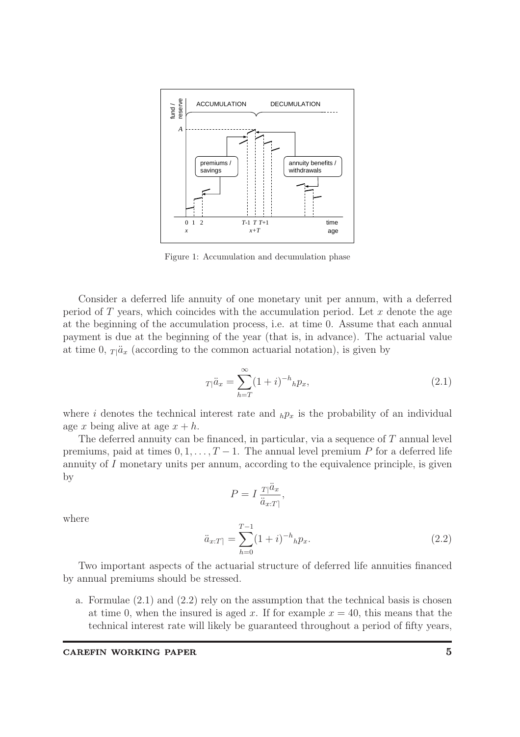

Figure 1: Accumulation and decumulation phase

Consider a deferred life annuity of one monetary unit per annum, with a deferred period of  $T$  years, which coincides with the accumulation period. Let  $x$  denote the age at the beginning of the accumulation process, i.e. at time 0. Assume that each annual payment is due at the beginning of the year (that is, in advance). The actuarial value at time 0,  $T|\ddot{a}_x|$  (according to the common actuarial notation), is given by

$$
T|\ddot{a}_x = \sum_{h=T}^{\infty} (1+i)^{-h}{}_h p_x,\tag{2.1}
$$

where i denotes the technical interest rate and  $_h p_x$  is the probability of an individual age x being alive at age  $x + h$ .

The deferred annuity can be financed, in particular, via a sequence of  $T$  annual level premiums, paid at times  $0, 1, \ldots, T-1$ . The annual level premium P for a deferred life annuity of I monetary units per annum, according to the equivalence principle, is given by

,

 $P = I \frac{T|\ddot{a}_x}{...}$  $\ddot{a}_{x:T}$ 

where

$$
\ddot{a}_{x:T} = \sum_{h=0}^{T-1} (1+i)^{-h}{}_h p_x.
$$
\n(2.2)

Two important aspects of the actuarial structure of deferred life annuities financed by annual premiums should be stressed.

a. Formulae (2.1) and (2.2) rely on the assumption that the technical basis is chosen at time 0, when the insured is aged x. If for example  $x = 40$ , this means that the technical interest rate will likely be guaranteed throughout a period of fifty years,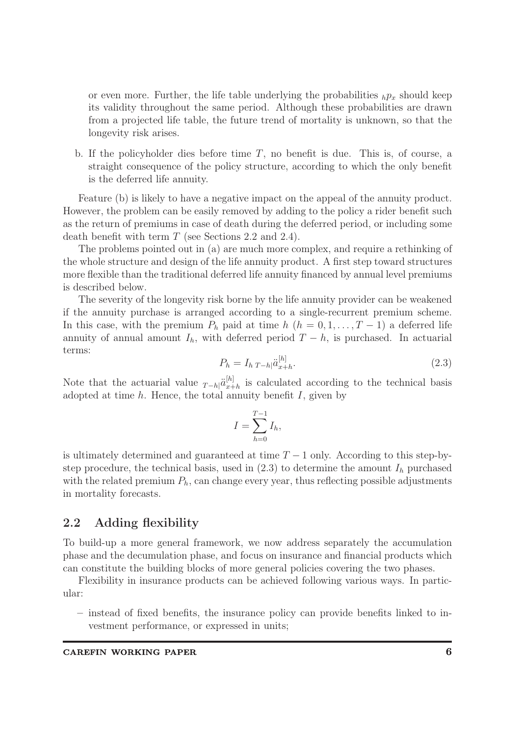or even more. Further, the life table underlying the probabilities  $_h p_x$  should keep its validity throughout the same period. Although these probabilities are drawn from a projected life table, the future trend of mortality is unknown, so that the longevity risk arises.

b. If the policyholder dies before time  $T$ , no benefit is due. This is, of course, a straight consequence of the policy structure, according to which the only benefit is the deferred life annuity.

Feature (b) is likely to have a negative impact on the appeal of the annuity product. However, the problem can be easily removed by adding to the policy a rider benefit such as the return of premiums in case of death during the deferred period, or including some death benefit with term  $T$  (see Sections 2.2 and 2.4).

The problems pointed out in (a) are much more complex, and require a rethinking of the whole structure and design of the life annuity product. A first step toward structures more flexible than the traditional deferred life annuity financed by annual level premiums is described below.

The severity of the longevity risk borne by the life annuity provider can be weakened if the annuity purchase is arranged according to a single-recurrent premium scheme. In this case, with the premium  $P_h$  paid at time  $h$   $(h = 0, 1, \ldots, T - 1)$  a deferred life annuity of annual amount  $I_h$ , with deferred period  $T-h$ , is purchased. In actuarial terms:

$$
P_h = I_{h\,T-h} \ddot{a}_{x+h}^{[h]}.
$$
\n(2.3)

Note that the actuarial value  $T-h|\ddot{a}_{x+}^{[h]}$  $\frac{[n]}{x+h}$  is calculated according to the technical basis adopted at time  $h$ . Hence, the total annuity benefit  $I$ , given by

$$
I = \sum_{h=0}^{T-1} I_h,
$$

is ultimately determined and guaranteed at time  $T - 1$  only. According to this step-bystep procedure, the technical basis, used in  $(2.3)$  to determine the amount  $I_h$  purchased with the related premium  $P_h$ , can change every year, thus reflecting possible adjustments in mortality forecasts.

#### 2.2 Adding flexibility

To build-up a more general framework, we now address separately the accumulation phase and the decumulation phase, and focus on insurance and financial products which can constitute the building blocks of more general policies covering the two phases.

Flexibility in insurance products can be achieved following various ways. In particular:

– instead of fixed benefits, the insurance policy can provide benefits linked to investment performance, or expressed in units;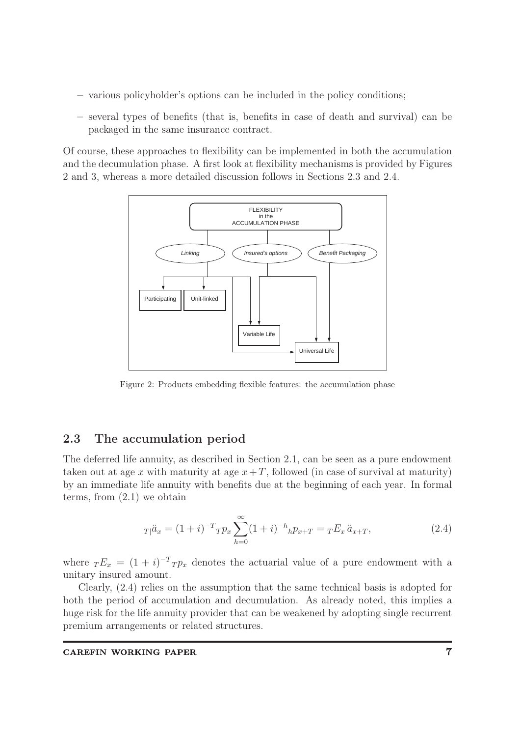- various policyholder's options can be included in the policy conditions;
- several types of benefits (that is, benefits in case of death and survival) can be packaged in the same insurance contract.

Of course, these approaches to flexibility can be implemented in both the accumulation and the decumulation phase. A first look at flexibility mechanisms is provided by Figures 2 and 3, whereas a more detailed discussion follows in Sections 2.3 and 2.4.



Figure 2: Products embedding flexible features: the accumulation phase

### 2.3 The accumulation period

The deferred life annuity, as described in Section 2.1, can be seen as a pure endowment taken out at age x with maturity at age  $x+T$ , followed (in case of survival at maturity) by an immediate life annuity with benefits due at the beginning of each year. In formal terms, from (2.1) we obtain

$$
T|\ddot{a}_x = (1+i)^{-T} \, T p_x \sum_{h=0}^{\infty} (1+i)^{-h} h p_{x+T} = T E_x \, \ddot{a}_{x+T},\tag{2.4}
$$

where  $T E_x = (1 + i)^{-T} T p_x$  denotes the actuarial value of a pure endowment with a unitary insured amount.

Clearly, (2.4) relies on the assumption that the same technical basis is adopted for both the period of accumulation and decumulation. As already noted, this implies a huge risk for the life annuity provider that can be weakened by adopting single recurrent premium arrangements or related structures.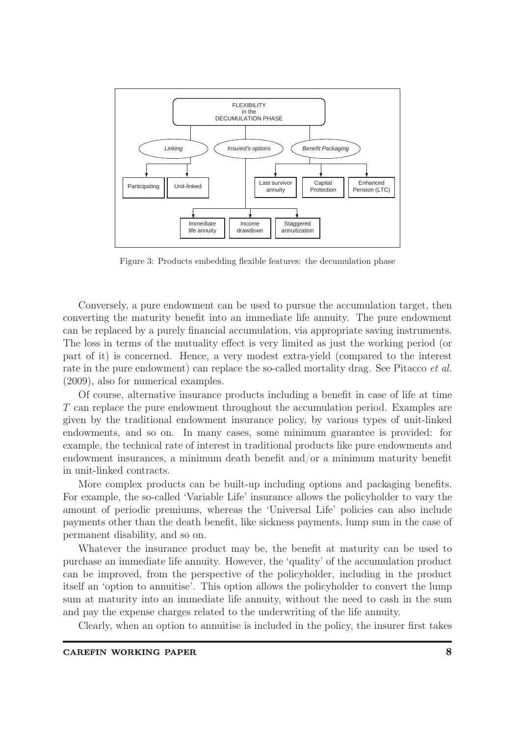

Figure 3: Products embedding flexible features: the decumulation phase

Conversely, a pure endowment can be used to pursue the accumulation target, then converting the maturity benefit into an immediate life annuity. The pure endowment can be replaced by a purely financial accumulation, via appropriate saving instruments. The loss in terms of the mutuality effect is very limited as just the working period (or part of it) is concerned. Hence, a very modest extra-yield (compared to the interest rate in the pure endowment) can replace the so-called mortality drag. See Pitacco *et al.* (2009), also for numerical examples.

Of course, alternative insurance products including a benefit in case of life at time T can replace the pure endowment throughout the accumulation period. Examples are given by the traditional endowment insurance policy, by various types of unit-linked endowments, and so on. In many cases, some minimum guarantee is provided: for example, the technical rate of interest in traditional products like pure endowments and endowment insurances, a minimum death benefit and/or a minimum maturity benefit in unit-linked contracts.

More complex products can be built-up including options and packaging benefits. For example, the so-called 'Variable Life' insurance allows the policyholder to vary the amount of periodic premiums, whereas the 'Universal Life' policies can also include payments other than the death benefit, like sickness payments, lump sum in the case of permanent disability, and so on.

Whatever the insurance product may be, the benefit at maturity can be used to purchase an immediate life annuity. However, the 'quality' of the accumulation product can be improved, from the perspective of the policyholder, including in the product itself an 'option to annuitise'. This option allows the policyholder to convert the lump sum at maturity into an immediate life annuity, without the need to cash in the sum and pay the expense charges related to the underwriting of the life annuity.

Clearly, when an option to annuitise is included in the policy, the insurer first takes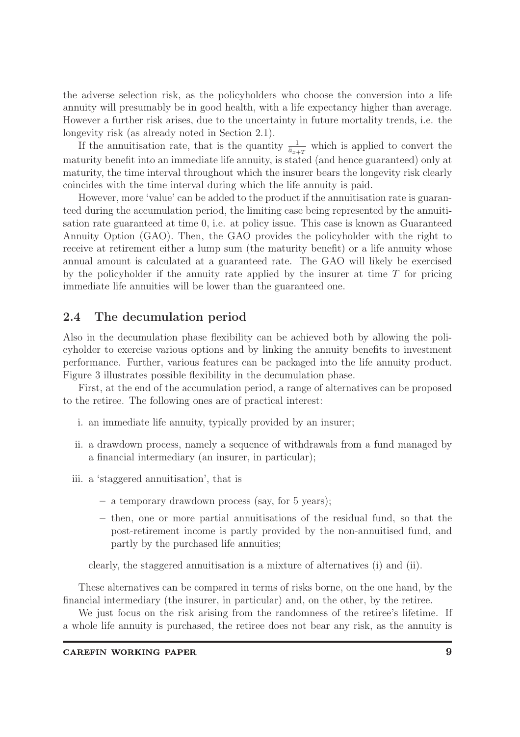the adverse selection risk, as the policyholders who choose the conversion into a life annuity will presumably be in good health, with a life expectancy higher than average. However a further risk arises, due to the uncertainty in future mortality trends, i.e. the longevity risk (as already noted in Section 2.1).

If the annuitisation rate, that is the quantity  $\frac{1}{\ddot{a}_{x+T}}$  which is applied to convert the maturity benefit into an immediate life annuity, is stated (and hence guaranteed) only at maturity, the time interval throughout which the insurer bears the longevity risk clearly coincides with the time interval during which the life annuity is paid.

However, more 'value' can be added to the product if the annuitisation rate is guaranteed during the accumulation period, the limiting case being represented by the annuitisation rate guaranteed at time 0, i.e. at policy issue. This case is known as Guaranteed Annuity Option (GAO). Then, the GAO provides the policyholder with the right to receive at retirement either a lump sum (the maturity benefit) or a life annuity whose annual amount is calculated at a guaranteed rate. The GAO will likely be exercised by the policyholder if the annuity rate applied by the insurer at time  $T$  for pricing immediate life annuities will be lower than the guaranteed one.

#### 2.4 The decumulation period

Also in the decumulation phase flexibility can be achieved both by allowing the policyholder to exercise various options and by linking the annuity benefits to investment performance. Further, various features can be packaged into the life annuity product. Figure 3 illustrates possible flexibility in the decumulation phase.

First, at the end of the accumulation period, a range of alternatives can be proposed to the retiree. The following ones are of practical interest:

- i. an immediate life annuity, typically provided by an insurer;
- ii. a drawdown process, namely a sequence of withdrawals from a fund managed by a financial intermediary (an insurer, in particular);
- iii. a 'staggered annuitisation', that is
	- a temporary drawdown process (say, for 5 years);
	- then, one or more partial annuitisations of the residual fund, so that the post-retirement income is partly provided by the non-annuitised fund, and partly by the purchased life annuities;

clearly, the staggered annuitisation is a mixture of alternatives (i) and (ii).

These alternatives can be compared in terms of risks borne, on the one hand, by the financial intermediary (the insurer, in particular) and, on the other, by the retiree.

We just focus on the risk arising from the randomness of the retiree's lifetime. If a whole life annuity is purchased, the retiree does not bear any risk, as the annuity is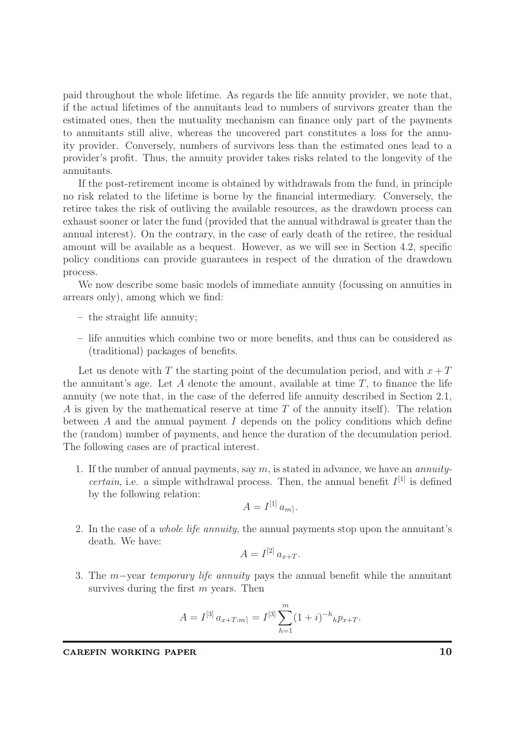paid throughout the whole lifetime. As regards the life annuity provider, we note that, if the actual lifetimes of the annuitants lead to numbers of survivors greater than the estimated ones, then the mutuality mechanism can finance only part of the payments to annuitants still alive, whereas the uncovered part constitutes a loss for the annuity provider. Conversely, numbers of survivors less than the estimated ones lead to a provider's profit. Thus, the annuity provider takes risks related to the longevity of the annuitants.

If the post-retirement income is obtained by withdrawals from the fund, in principle no risk related to the lifetime is borne by the financial intermediary. Conversely, the retiree takes the risk of outliving the available resources, as the drawdown process can exhaust sooner or later the fund (provided that the annual withdrawal is greater than the annual interest). On the contrary, in the case of early death of the retiree, the residual amount will be available as a bequest. However, as we will see in Section 4.2, specific policy conditions can provide guarantees in respect of the duration of the drawdown process.

We now describe some basic models of immediate annuity (focussing on annuities in arrears only), among which we find:

- the straight life annuity;
- life annuities which combine two or more benefits, and thus can be considered as (traditional) packages of benefits.

Let us denote with T the starting point of the decumulation period, and with  $x + T$ the annuitant's age. Let A denote the amount, available at time  $T$ , to finance the life annuity (we note that, in the case of the deferred life annuity described in Section 2.1, A is given by the mathematical reserve at time T of the annuity itself). The relation between  $A$  and the annual payment  $I$  depends on the policy conditions which define the (random) number of payments, and hence the duration of the decumulation period. The following cases are of practical interest.

1. If the number of annual payments, say m, is stated in advance, we have an *annuitycertain*, i.e. a simple withdrawal process. Then, the annual benefit  $I^{[1]}$  is defined by the following relation:

$$
A = I^{[1]} a_{m}.
$$

2. In the case of a *whole life annuity*, the annual payments stop upon the annuitant's death. We have:

$$
A = I^{[2]} a_{x+T}.
$$

3. The m−year *temporary life annuity* pays the annual benefit while the annuitant survives during the first  $m$  years. Then

$$
A = I^{[3]} a_{x+T:m} = I^{[3]} \sum_{h=1}^{m} (1+i)^{-h} h p_{x+T}.
$$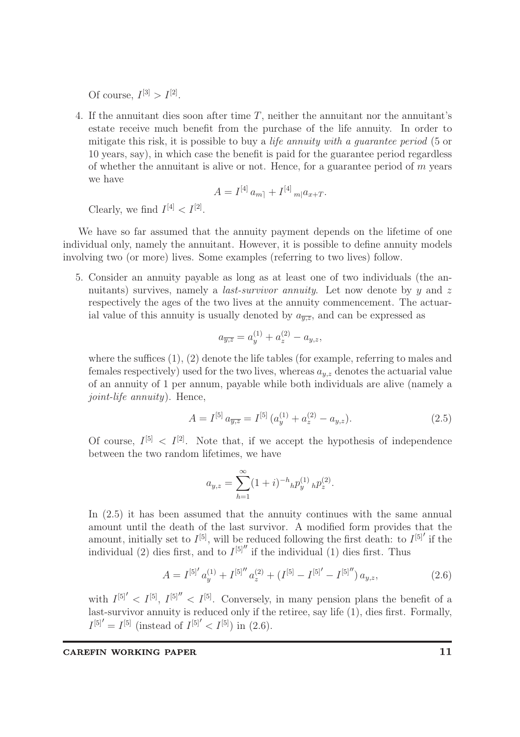Of course,  $I^{[3]} > I^{[2]}$ .

4. If the annuitant dies soon after time T, neither the annuitant nor the annuitant's estate receive much benefit from the purchase of the life annuity. In order to mitigate this risk, it is possible to buy a *life annuity with a guarantee period* (5 or 10 years, say), in which case the benefit is paid for the guarantee period regardless of whether the annuitant is alive or not. Hence, for a guarantee period of  $m$  years we have

$$
A = I^{[4]} a_{m]} + I^{[4]}{}_{m]} a_{x+T}.
$$

Clearly, we find  $I^{[4]} < I^{[2]}$ .

We have so far assumed that the annuity payment depends on the lifetime of one individual only, namely the annuitant. However, it is possible to define annuity models involving two (or more) lives. Some examples (referring to two lives) follow.

5. Consider an annuity payable as long as at least one of two individuals (the annuitants) survives, namely a *last-survivor annuity*. Let now denote by y and z respectively the ages of the two lives at the annuity commencement. The actuarial value of this annuity is usually denoted by  $a_{\overline{u},\overline{z}}$ , and can be expressed as

$$
a_{\overline{y,z}} = a_y^{(1)} + a_z^{(2)} - a_{y,z},
$$

where the suffices (1), (2) denote the life tables (for example, referring to males and females respectively) used for the two lives, whereas  $a_{u,z}$  denotes the actuarial value of an annuity of 1 per annum, payable while both individuals are alive (namely a *joint-life annuity*). Hence,

$$
A = I^{[5]} a_{\overline{y,z}} = I^{[5]} (a_y^{(1)} + a_z^{(2)} - a_{y,z}).
$$
\n(2.5)

Of course,  $I^{[5]} < I^{[2]}$ . Note that, if we accept the hypothesis of independence between the two random lifetimes, we have

$$
a_{y,z} = \sum_{h=1}^{\infty} (1+i)^{-h}{}_h p_y^{(1)}{}_h p_z^{(2)}.
$$

In (2.5) it has been assumed that the annuity continues with the same annual amount until the death of the last survivor. A modified form provides that the amount, initially set to  $I^{[5]}$ , will be reduced following the first death: to  $I^{[5]}$  if the individual (2) dies first, and to  $I^{[5]''}$  if the individual (1) dies first. Thus

$$
A = I^{[5]'} a_y^{(1)} + I^{[5]''} a_z^{(2)} + (I^{[5]} - I^{[5]'} - I^{[5]''}) a_{y,z},
$$
\n(2.6)

with  $I^{[5]'} < I^{[5]}, I^{[5]''} < I^{[5]}$ . Conversely, in many pension plans the benefit of a last-survivor annuity is reduced only if the retiree, say life (1), dies first. Formally,  $I^{[5]'} = I^{[5]}$  (instead of  $I^{[5]'} < I^{[5]}$ ) in (2.6).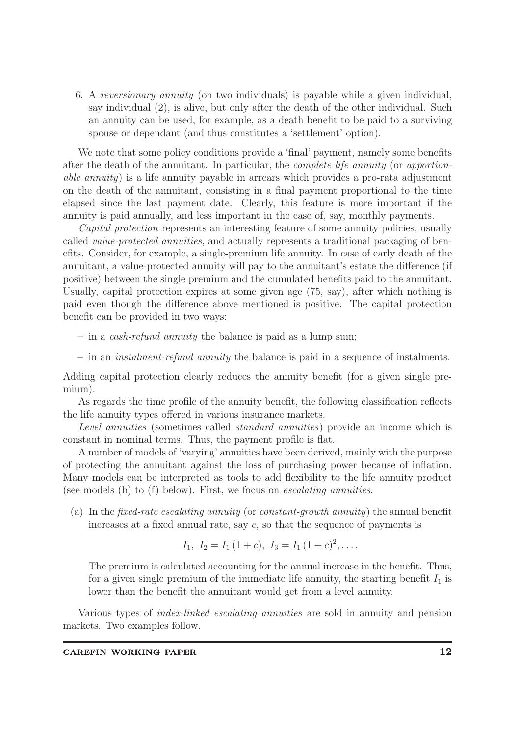6. A *reversionary annuity* (on two individuals) is payable while a given individual, say individual (2), is alive, but only after the death of the other individual. Such an annuity can be used, for example, as a death benefit to be paid to a surviving spouse or dependant (and thus constitutes a 'settlement' option).

We note that some policy conditions provide a 'final' payment, namely some benefits after the death of the annuitant. In particular, the *complete life annuity* (or *apportionable annuity*) is a life annuity payable in arrears which provides a pro-rata adjustment on the death of the annuitant, consisting in a final payment proportional to the time elapsed since the last payment date. Clearly, this feature is more important if the annuity is paid annually, and less important in the case of, say, monthly payments.

*Capital protection* represents an interesting feature of some annuity policies, usually called *value-protected annuities*, and actually represents a traditional packaging of benefits. Consider, for example, a single-premium life annuity. In case of early death of the annuitant, a value-protected annuity will pay to the annuitant's estate the difference (if positive) between the single premium and the cumulated benefits paid to the annuitant. Usually, capital protection expires at some given age (75, say), after which nothing is paid even though the difference above mentioned is positive. The capital protection benefit can be provided in two ways:

– in a *cash-refund annuity* the balance is paid as a lump sum;

– in an *instalment-refund annuity* the balance is paid in a sequence of instalments.

Adding capital protection clearly reduces the annuity benefit (for a given single premium).

As regards the time profile of the annuity benefit, the following classification reflects the life annuity types offered in various insurance markets.

*Level annuities* (sometimes called *standard annuities*) provide an income which is constant in nominal terms. Thus, the payment profile is flat.

A number of models of 'varying' annuities have been derived, mainly with the purpose of protecting the annuitant against the loss of purchasing power because of inflation. Many models can be interpreted as tools to add flexibility to the life annuity product (see models (b) to (f) below). First, we focus on *escalating annuities*.

(a) In the *fixed-rate escalating annuity* (or *constant-growth annuity*) the annual benefit increases at a fixed annual rate, say  $c$ , so that the sequence of payments is

$$
I_1
$$
,  $I_2 = I_1 (1 + c)$ ,  $I_3 = I_1 (1 + c)^2$ ,....

The premium is calculated accounting for the annual increase in the benefit. Thus, for a given single premium of the immediate life annuity, the starting benefit  $I_1$  is lower than the benefit the annuitant would get from a level annuity.

Various types of *index-linked escalating annuities* are sold in annuity and pension markets. Two examples follow.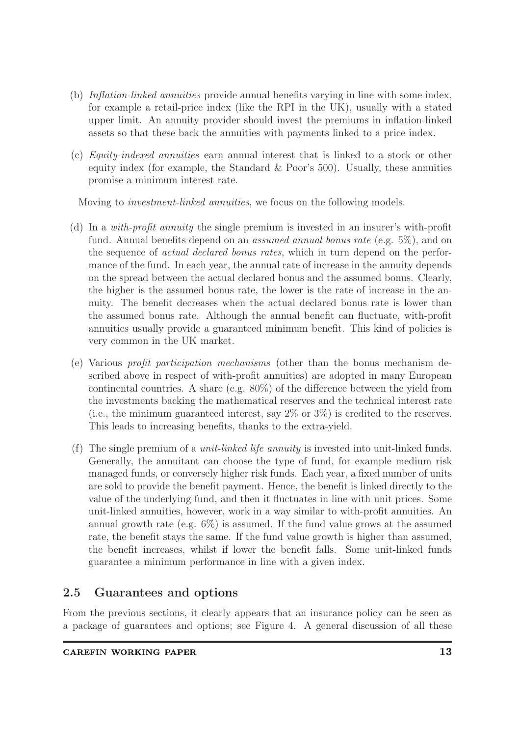- (b) *Inflation-linked annuities* provide annual benefits varying in line with some index, for example a retail-price index (like the RPI in the UK), usually with a stated upper limit. An annuity provider should invest the premiums in inflation-linked assets so that these back the annuities with payments linked to a price index.
- (c) *Equity-indexed annuities* earn annual interest that is linked to a stock or other equity index (for example, the Standard  $&$  Poor's 500). Usually, these annuities promise a minimum interest rate.

Moving to *investment-linked annuities*, we focus on the following models.

- (d) In a *with-profit annuity* the single premium is invested in an insurer's with-profit fund. Annual benefits depend on an *assumed annual bonus rate* (e.g. 5%), and on the sequence of *actual declared bonus rates*, which in turn depend on the performance of the fund. In each year, the annual rate of increase in the annuity depends on the spread between the actual declared bonus and the assumed bonus. Clearly, the higher is the assumed bonus rate, the lower is the rate of increase in the annuity. The benefit decreases when the actual declared bonus rate is lower than the assumed bonus rate. Although the annual benefit can fluctuate, with-profit annuities usually provide a guaranteed minimum benefit. This kind of policies is very common in the UK market.
- (e) Various *profit participation mechanisms* (other than the bonus mechanism described above in respect of with-profit annuities) are adopted in many European continental countries. A share (e.g. 80%) of the difference between the yield from the investments backing the mathematical reserves and the technical interest rate (i.e., the minimum guaranteed interest, say  $2\%$  or  $3\%$ ) is credited to the reserves. This leads to increasing benefits, thanks to the extra-yield.
- (f) The single premium of a *unit-linked life annuity* is invested into unit-linked funds. Generally, the annuitant can choose the type of fund, for example medium risk managed funds, or conversely higher risk funds. Each year, a fixed number of units are sold to provide the benefit payment. Hence, the benefit is linked directly to the value of the underlying fund, and then it fluctuates in line with unit prices. Some unit-linked annuities, however, work in a way similar to with-profit annuities. An annual growth rate (e.g. 6%) is assumed. If the fund value grows at the assumed rate, the benefit stays the same. If the fund value growth is higher than assumed, the benefit increases, whilst if lower the benefit falls. Some unit-linked funds guarantee a minimum performance in line with a given index.

## 2.5 Guarantees and options

From the previous sections, it clearly appears that an insurance policy can be seen as a package of guarantees and options; see Figure 4. A general discussion of all these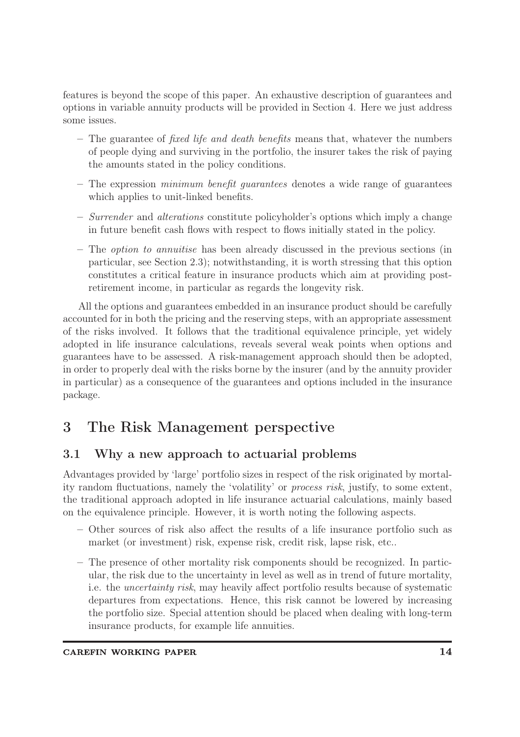features is beyond the scope of this paper. An exhaustive description of guarantees and options in variable annuity products will be provided in Section 4. Here we just address some issues.

- The guarantee of *fixed life and death benefits* means that, whatever the numbers of people dying and surviving in the portfolio, the insurer takes the risk of paying the amounts stated in the policy conditions.
- The expression *minimum benefit guarantees* denotes a wide range of guarantees which applies to unit-linked benefits.
- *Surrender* and *alterations* constitute policyholder's options which imply a change in future benefit cash flows with respect to flows initially stated in the policy.
- The *option to annuitise* has been already discussed in the previous sections (in particular, see Section 2.3); notwithstanding, it is worth stressing that this option constitutes a critical feature in insurance products which aim at providing postretirement income, in particular as regards the longevity risk.

All the options and guarantees embedded in an insurance product should be carefully accounted for in both the pricing and the reserving steps, with an appropriate assessment of the risks involved. It follows that the traditional equivalence principle, yet widely adopted in life insurance calculations, reveals several weak points when options and guarantees have to be assessed. A risk-management approach should then be adopted, in order to properly deal with the risks borne by the insurer (and by the annuity provider in particular) as a consequence of the guarantees and options included in the insurance package.

## 3 The Risk Management perspective

## 3.1 Why a new approach to actuarial problems

Advantages provided by 'large' portfolio sizes in respect of the risk originated by mortality random fluctuations, namely the 'volatility' or *process risk*, justify, to some extent, the traditional approach adopted in life insurance actuarial calculations, mainly based on the equivalence principle. However, it is worth noting the following aspects.

- Other sources of risk also affect the results of a life insurance portfolio such as market (or investment) risk, expense risk, credit risk, lapse risk, etc..
- The presence of other mortality risk components should be recognized. In particular, the risk due to the uncertainty in level as well as in trend of future mortality, i.e. the *uncertainty risk*, may heavily affect portfolio results because of systematic departures from expectations. Hence, this risk cannot be lowered by increasing the portfolio size. Special attention should be placed when dealing with long-term insurance products, for example life annuities.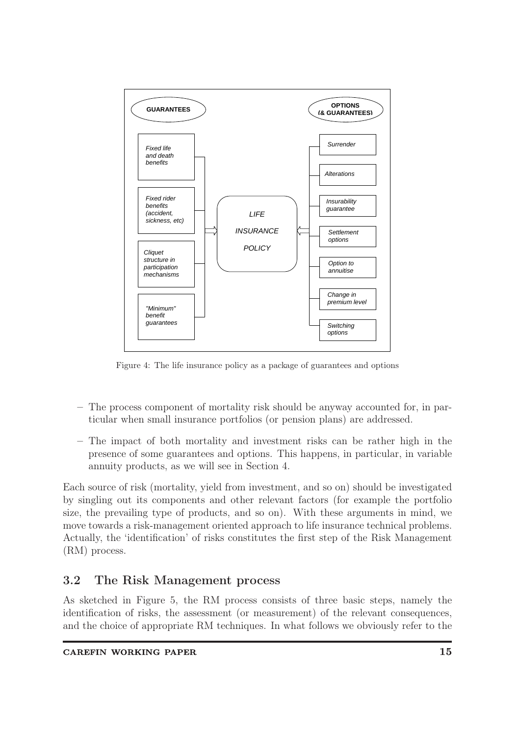

Figure 4: The life insurance policy as a package of guarantees and options

- The process component of mortality risk should be anyway accounted for, in particular when small insurance portfolios (or pension plans) are addressed.
- The impact of both mortality and investment risks can be rather high in the presence of some guarantees and options. This happens, in particular, in variable annuity products, as we will see in Section 4.

Each source of risk (mortality, yield from investment, and so on) should be investigated by singling out its components and other relevant factors (for example the portfolio size, the prevailing type of products, and so on). With these arguments in mind, we move towards a risk-management oriented approach to life insurance technical problems. Actually, the 'identification' of risks constitutes the first step of the Risk Management (RM) process.

## 3.2 The Risk Management process

As sketched in Figure 5, the RM process consists of three basic steps, namely the identification of risks, the assessment (or measurement) of the relevant consequences, and the choice of appropriate RM techniques. In what follows we obviously refer to the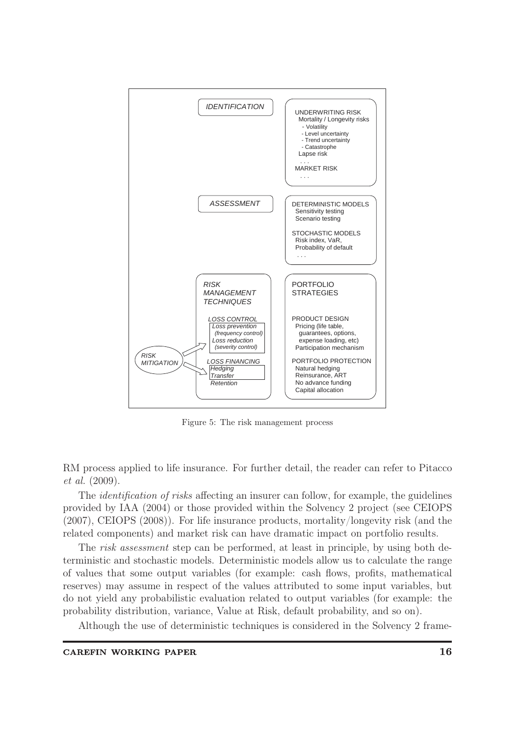

Figure 5: The risk management process

RM process applied to life insurance. For further detail, the reader can refer to Pitacco *et al.* (2009).

The *identification of risks* affecting an insurer can follow, for example, the guidelines provided by IAA (2004) or those provided within the Solvency 2 project (see CEIOPS (2007), CEIOPS (2008)). For life insurance products, mortality/longevity risk (and the related components) and market risk can have dramatic impact on portfolio results.

The *risk assessment* step can be performed, at least in principle, by using both deterministic and stochastic models. Deterministic models allow us to calculate the range of values that some output variables (for example: cash flows, profits, mathematical reserves) may assume in respect of the values attributed to some input variables, but do not yield any probabilistic evaluation related to output variables (for example: the probability distribution, variance, Value at Risk, default probability, and so on).

Although the use of deterministic techniques is considered in the Solvency 2 frame-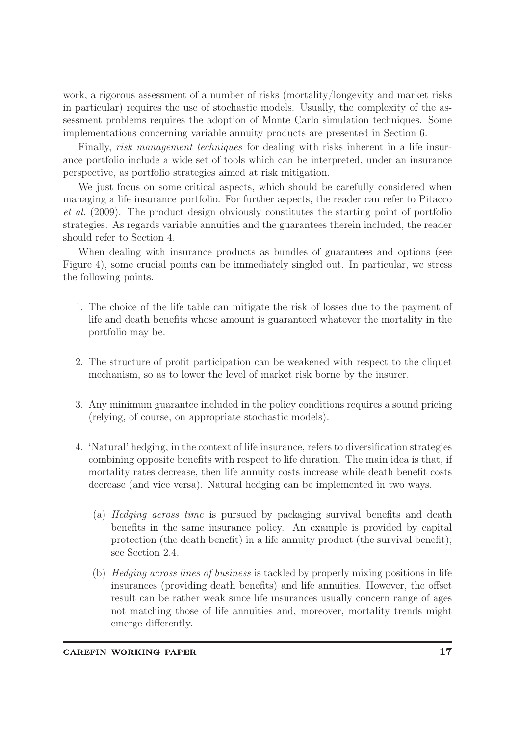work, a rigorous assessment of a number of risks (mortality/longevity and market risks in particular) requires the use of stochastic models. Usually, the complexity of the assessment problems requires the adoption of Monte Carlo simulation techniques. Some implementations concerning variable annuity products are presented in Section 6.

Finally, *risk management techniques* for dealing with risks inherent in a life insurance portfolio include a wide set of tools which can be interpreted, under an insurance perspective, as portfolio strategies aimed at risk mitigation.

We just focus on some critical aspects, which should be carefully considered when managing a life insurance portfolio. For further aspects, the reader can refer to Pitacco *et al.* (2009). The product design obviously constitutes the starting point of portfolio strategies. As regards variable annuities and the guarantees therein included, the reader should refer to Section 4.

When dealing with insurance products as bundles of guarantees and options (see Figure 4), some crucial points can be immediately singled out. In particular, we stress the following points.

- 1. The choice of the life table can mitigate the risk of losses due to the payment of life and death benefits whose amount is guaranteed whatever the mortality in the portfolio may be.
- 2. The structure of profit participation can be weakened with respect to the cliquet mechanism, so as to lower the level of market risk borne by the insurer.
- 3. Any minimum guarantee included in the policy conditions requires a sound pricing (relying, of course, on appropriate stochastic models).
- 4. 'Natural' hedging, in the context of life insurance, refers to diversification strategies combining opposite benefits with respect to life duration. The main idea is that, if mortality rates decrease, then life annuity costs increase while death benefit costs decrease (and vice versa). Natural hedging can be implemented in two ways.
	- (a) *Hedging across time* is pursued by packaging survival benefits and death benefits in the same insurance policy. An example is provided by capital protection (the death benefit) in a life annuity product (the survival benefit); see Section 2.4.
	- (b) *Hedging across lines of business* is tackled by properly mixing positions in life insurances (providing death benefits) and life annuities. However, the offset result can be rather weak since life insurances usually concern range of ages not matching those of life annuities and, moreover, mortality trends might emerge differently.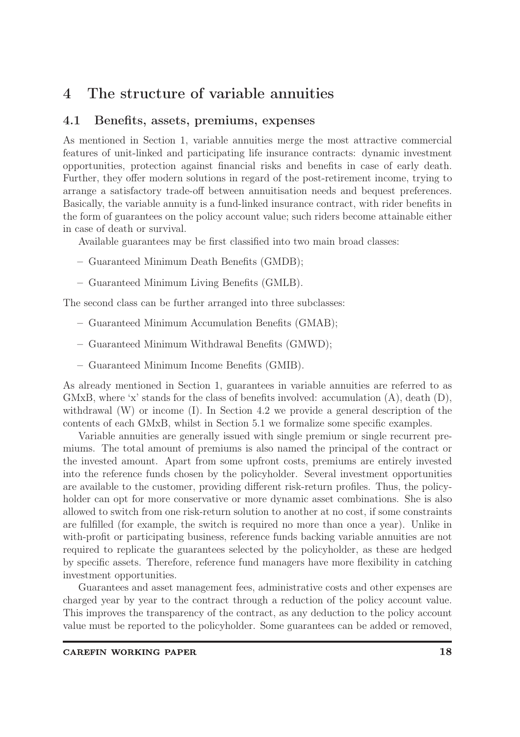## 4 The structure of variable annuities

## 4.1 Benefits, assets, premiums, expenses

As mentioned in Section 1, variable annuities merge the most attractive commercial features of unit-linked and participating life insurance contracts: dynamic investment opportunities, protection against financial risks and benefits in case of early death. Further, they offer modern solutions in regard of the post-retirement income, trying to arrange a satisfactory trade-off between annuitisation needs and bequest preferences. Basically, the variable annuity is a fund-linked insurance contract, with rider benefits in the form of guarantees on the policy account value; such riders become attainable either in case of death or survival.

Available guarantees may be first classified into two main broad classes:

- Guaranteed Minimum Death Benefits (GMDB);
- Guaranteed Minimum Living Benefits (GMLB).

The second class can be further arranged into three subclasses:

- Guaranteed Minimum Accumulation Benefits (GMAB);
- Guaranteed Minimum Withdrawal Benefits (GMWD);
- Guaranteed Minimum Income Benefits (GMIB).

As already mentioned in Section 1, guarantees in variable annuities are referred to as GMxB, where 'x' stands for the class of benefits involved: accumulation (A), death (D), withdrawal (W) or income (I). In Section 4.2 we provide a general description of the contents of each GMxB, whilst in Section 5.1 we formalize some specific examples.

Variable annuities are generally issued with single premium or single recurrent premiums. The total amount of premiums is also named the principal of the contract or the invested amount. Apart from some upfront costs, premiums are entirely invested into the reference funds chosen by the policyholder. Several investment opportunities are available to the customer, providing different risk-return profiles. Thus, the policyholder can opt for more conservative or more dynamic asset combinations. She is also allowed to switch from one risk-return solution to another at no cost, if some constraints are fulfilled (for example, the switch is required no more than once a year). Unlike in with-profit or participating business, reference funds backing variable annuities are not required to replicate the guarantees selected by the policyholder, as these are hedged by specific assets. Therefore, reference fund managers have more flexibility in catching investment opportunities.

Guarantees and asset management fees, administrative costs and other expenses are charged year by year to the contract through a reduction of the policy account value. This improves the transparency of the contract, as any deduction to the policy account value must be reported to the policyholder. Some guarantees can be added or removed,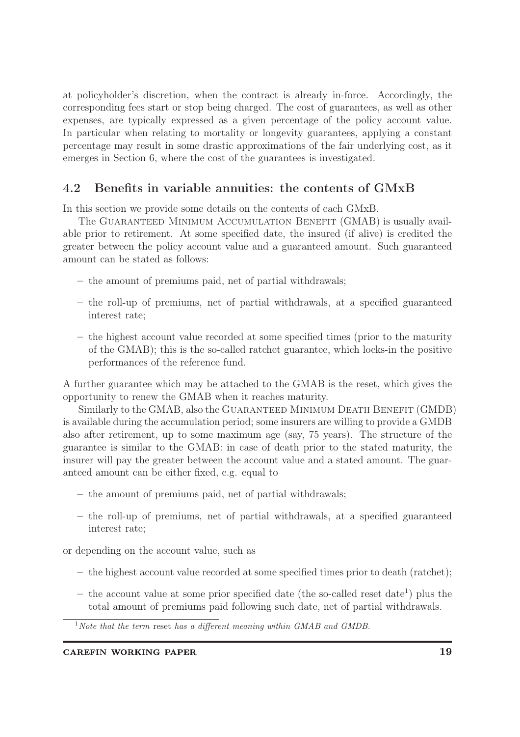at policyholder's discretion, when the contract is already in-force. Accordingly, the corresponding fees start or stop being charged. The cost of guarantees, as well as other expenses, are typically expressed as a given percentage of the policy account value. In particular when relating to mortality or longevity guarantees, applying a constant percentage may result in some drastic approximations of the fair underlying cost, as it emerges in Section 6, where the cost of the guarantees is investigated.

## 4.2 Benefits in variable annuities: the contents of GMxB

In this section we provide some details on the contents of each GMxB.

The GUARANTEED MINIMUM ACCUMULATION BENEFIT (GMAB) is usually available prior to retirement. At some specified date, the insured (if alive) is credited the greater between the policy account value and a guaranteed amount. Such guaranteed amount can be stated as follows:

- the amount of premiums paid, net of partial withdrawals;
- the roll-up of premiums, net of partial withdrawals, at a specified guaranteed interest rate;
- the highest account value recorded at some specified times (prior to the maturity of the GMAB); this is the so-called ratchet guarantee, which locks-in the positive performances of the reference fund.

A further guarantee which may be attached to the GMAB is the reset, which gives the opportunity to renew the GMAB when it reaches maturity.

Similarly to the GMAB, also the GUARANTEED MINIMUM DEATH BENEFIT (GMDB) is available during the accumulation period; some insurers are willing to provide a GMDB also after retirement, up to some maximum age (say, 75 years). The structure of the guarantee is similar to the GMAB: in case of death prior to the stated maturity, the insurer will pay the greater between the account value and a stated amount. The guaranteed amount can be either fixed, e.g. equal to

- the amount of premiums paid, net of partial withdrawals;
- the roll-up of premiums, net of partial withdrawals, at a specified guaranteed interest rate;

or depending on the account value, such as

- the highest account value recorded at some specified times prior to death (ratchet);
- the account value at some prior specified date (the so-called reset date<sup>1</sup>) plus the total amount of premiums paid following such date, net of partial withdrawals.

<sup>&</sup>lt;sup>1</sup>Note that the term reset has a different meaning within GMAB and GMDB.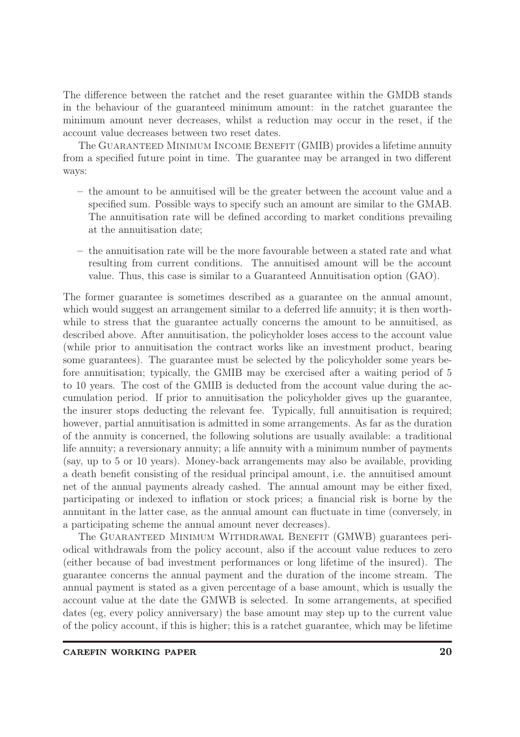The difference between the ratchet and the reset guarantee within the GMDB stands in the behaviour of the guaranteed minimum amount: in the ratchet guarantee the minimum amount never decreases, whilst a reduction may occur in the reset, if the account value decreases between two reset dates.

The Guaranteed Minimum Income Benefit (GMIB) provides a lifetime annuity from a specified future point in time. The guarantee may be arranged in two different ways:

- the amount to be annuitised will be the greater between the account value and a specified sum. Possible ways to specify such an amount are similar to the GMAB. The annuitisation rate will be defined according to market conditions prevailing at the annuitisation date;
- the annuitisation rate will be the more favourable between a stated rate and what resulting from current conditions. The annuitised amount will be the account value. Thus, this case is similar to a Guaranteed Annuitisation option (GAO).

The former guarantee is sometimes described as a guarantee on the annual amount, which would suggest an arrangement similar to a deferred life annuity; it is then worthwhile to stress that the guarantee actually concerns the amount to be annuitised, as described above. After annuitisation, the policyholder loses access to the account value (while prior to annuitisation the contract works like an investment product, bearing some guarantees). The guarantee must be selected by the policyholder some years before annuitisation; typically, the GMIB may be exercised after a waiting period of 5 to 10 years. The cost of the GMIB is deducted from the account value during the accumulation period. If prior to annuitisation the policyholder gives up the guarantee, the insurer stops deducting the relevant fee. Typically, full annuitisation is required; however, partial annuitisation is admitted in some arrangements. As far as the duration of the annuity is concerned, the following solutions are usually available: a traditional life annuity; a reversionary annuity; a life annuity with a minimum number of payments (say, up to 5 or 10 years). Money-back arrangements may also be available, providing a death benefit consisting of the residual principal amount, i.e. the annuitised amount net of the annual payments already cashed. The annual amount may be either fixed, participating or indexed to inflation or stock prices; a financial risk is borne by the annuitant in the latter case, as the annual amount can fluctuate in time (conversely, in a participating scheme the annual amount never decreases).

The Guaranteed Minimum Withdrawal Benefit (GMWB) guarantees periodical withdrawals from the policy account, also if the account value reduces to zero (either because of bad investment performances or long lifetime of the insured). The guarantee concerns the annual payment and the duration of the income stream. The annual payment is stated as a given percentage of a base amount, which is usually the account value at the date the GMWB is selected. In some arrangements, at specified dates (eg, every policy anniversary) the base amount may step up to the current value of the policy account, if this is higher; this is a ratchet guarantee, which may be lifetime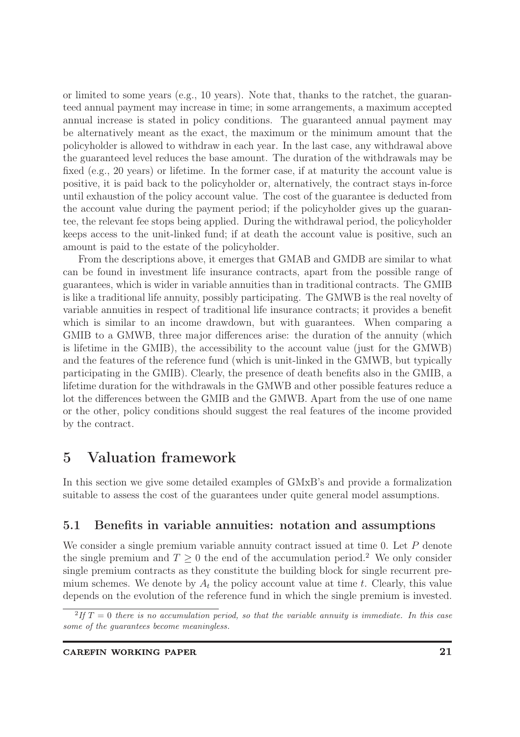or limited to some years (e.g., 10 years). Note that, thanks to the ratchet, the guaranteed annual payment may increase in time; in some arrangements, a maximum accepted annual increase is stated in policy conditions. The guaranteed annual payment may be alternatively meant as the exact, the maximum or the minimum amount that the policyholder is allowed to withdraw in each year. In the last case, any withdrawal above the guaranteed level reduces the base amount. The duration of the withdrawals may be fixed (e.g., 20 years) or lifetime. In the former case, if at maturity the account value is positive, it is paid back to the policyholder or, alternatively, the contract stays in-force until exhaustion of the policy account value. The cost of the guarantee is deducted from the account value during the payment period; if the policyholder gives up the guarantee, the relevant fee stops being applied. During the withdrawal period, the policyholder keeps access to the unit-linked fund; if at death the account value is positive, such an amount is paid to the estate of the policyholder.

From the descriptions above, it emerges that GMAB and GMDB are similar to what can be found in investment life insurance contracts, apart from the possible range of guarantees, which is wider in variable annuities than in traditional contracts. The GMIB is like a traditional life annuity, possibly participating. The GMWB is the real novelty of variable annuities in respect of traditional life insurance contracts; it provides a benefit which is similar to an income drawdown, but with guarantees. When comparing a GMIB to a GMWB, three major differences arise: the duration of the annuity (which is lifetime in the GMIB), the accessibility to the account value (just for the GMWB) and the features of the reference fund (which is unit-linked in the GMWB, but typically participating in the GMIB). Clearly, the presence of death benefits also in the GMIB, a lifetime duration for the withdrawals in the GMWB and other possible features reduce a lot the differences between the GMIB and the GMWB. Apart from the use of one name or the other, policy conditions should suggest the real features of the income provided by the contract.

## 5 Valuation framework

In this section we give some detailed examples of GMxB's and provide a formalization suitable to assess the cost of the guarantees under quite general model assumptions.

## 5.1 Benefits in variable annuities: notation and assumptions

We consider a single premium variable annuity contract issued at time 0. Let P denote the single premium and  $T \geq 0$  the end of the accumulation period.<sup>2</sup> We only consider single premium contracts as they constitute the building block for single recurrent premium schemes. We denote by  $A_t$  the policy account value at time t. Clearly, this value depends on the evolution of the reference fund in which the single premium is invested.

<sup>&</sup>lt;sup>2</sup>If  $T = 0$  there is no accumulation period, so that the variable annuity is immediate. In this case some of the guarantees become meaningless.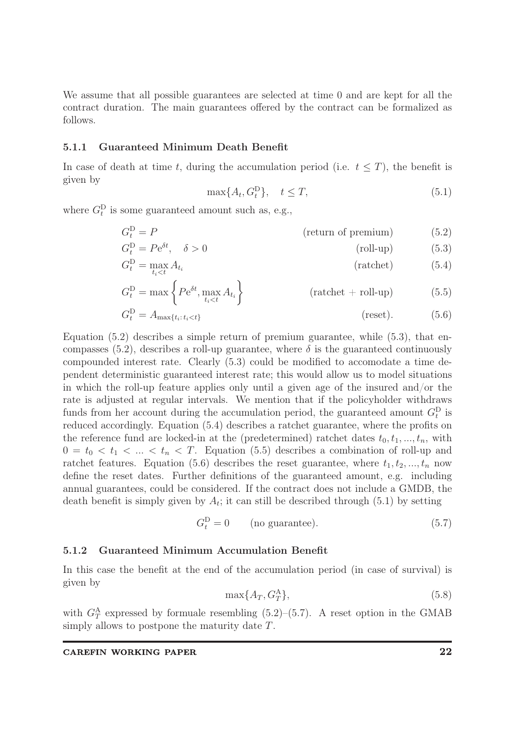We assume that all possible guarantees are selected at time 0 and are kept for all the contract duration. The main guarantees offered by the contract can be formalized as follows.

#### 5.1.1 Guaranteed Minimum Death Benefit

In case of death at time t, during the accumulation period (i.e.  $t \leq T$ ), the benefit is given by

$$
\max\{A_t, G_t^D\}, \quad t \le T,\tag{5.1}
$$

where  $G_t^D$  is some guaranteed amount such as, e.g.,

$$
G_t^D = P
$$
 (return of premium) (5.2)

$$
G_t^D = Pe^{\delta t}, \quad \delta > 0
$$
 (roll-up) (5.3)  
\n
$$
G_t^D = \max_{t_i < t} A_{t_i}
$$
 (ratehet) (5.4)

$$
G_t^{\text{D}} = \max \left\{ P e^{\delta t}, \max_{t_i < t} A_{t_i} \right\} \qquad \text{(ratchet + roll-up)} \tag{5.5}
$$
\n
$$
G_t^{\text{D}} = A \qquad \text{(6.6)}
$$

$$
G_t^D = A_{\max\{t_i : t_i < t\}}\tag{5.6}
$$

Equation (5.2) describes a simple return of premium guarantee, while (5.3), that encompasses (5.2), describes a roll-up guarantee, where  $\delta$  is the guaranteed continuously compounded interest rate. Clearly (5.3) could be modified to accomodate a time dependent deterministic guaranteed interest rate; this would allow us to model situations in which the roll-up feature applies only until a given age of the insured and/or the rate is adjusted at regular intervals. We mention that if the policyholder withdraws funds from her account during the accumulation period, the guaranteed amount  $G_t^{\text{D}}$  is reduced accordingly. Equation (5.4) describes a ratchet guarantee, where the profits on the reference fund are locked-in at the (predetermined) ratchet dates  $t_0, t_1, ..., t_n$ , with  $0 = t_0 < t_1 < \ldots < t_n < T$ . Equation (5.5) describes a combination of roll-up and ratchet features. Equation (5.6) describes the reset guarantee, where  $t_1, t_2, ..., t_n$  now define the reset dates. Further definitions of the guaranteed amount, e.g. including annual guarantees, could be considered. If the contract does not include a GMDB, the death benefit is simply given by  $A_t$ ; it can still be described through (5.1) by setting

$$
G_t^D = 0 \qquad \text{(no guarantee).} \tag{5.7}
$$

#### 5.1.2 Guaranteed Minimum Accumulation Benefit

In this case the benefit at the end of the accumulation period (in case of survival) is given by

$$
\max\{A_T, G_T^{\mathcal{A}}\},\tag{5.8}
$$

with  $G_T^{\mathcal{A}}$  expressed by formuale resembling (5.2)–(5.7). A reset option in the GMAB simply allows to postpone the maturity date T.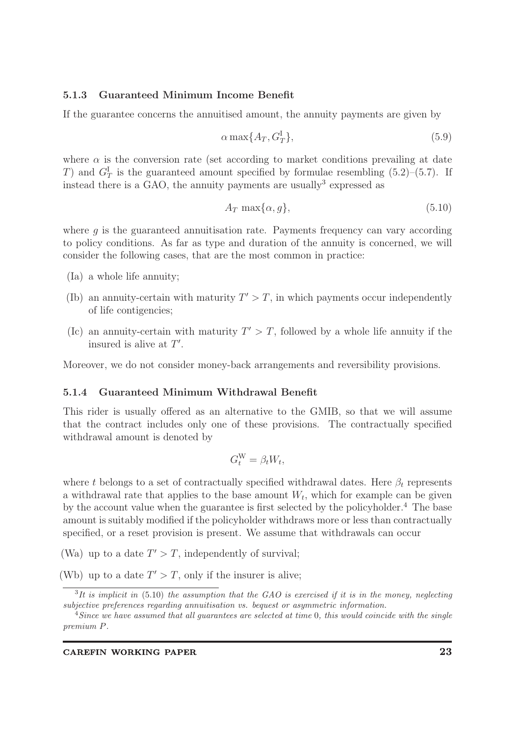#### 5.1.3 Guaranteed Minimum Income Benefit

If the guarantee concerns the annuitised amount, the annuity payments are given by

$$
\alpha \max\{A_T, G_T^{\mathrm{I}}\},\tag{5.9}
$$

where  $\alpha$  is the conversion rate (set according to market conditions prevailing at date T) and  $G_T^{\text{I}}$  is the guaranteed amount specified by formulae resembling (5.2)–(5.7). If instead there is a GAO, the annuity payments are usually<sup>3</sup> expressed as

$$
A_T \max\{\alpha, g\},\tag{5.10}
$$

where  $q$  is the guaranteed annuitisation rate. Payments frequency can vary according to policy conditions. As far as type and duration of the annuity is concerned, we will consider the following cases, that are the most common in practice:

- (Ia) a whole life annuity;
- (Ib) an annuity-certain with maturity  $T' > T$ , in which payments occur independently of life contigencies;
- (Ic) an annuity-certain with maturity  $T' > T$ , followed by a whole life annuity if the insured is alive at  $T'$ .

Moreover, we do not consider money-back arrangements and reversibility provisions.

#### 5.1.4 Guaranteed Minimum Withdrawal Benefit

This rider is usually offered as an alternative to the GMIB, so that we will assume that the contract includes only one of these provisions. The contractually specified withdrawal amount is denoted by

$$
G_t^{\mathbf{W}} = \beta_t W_t,
$$

where t belongs to a set of contractually specified withdrawal dates. Here  $\beta_t$  represents a withdrawal rate that applies to the base amount  $W_t$ , which for example can be given by the account value when the guarantee is first selected by the policyholder.<sup>4</sup> The base amount is suitably modified if the policyholder withdraws more or less than contractually specified, or a reset provision is present. We assume that withdrawals can occur

(Wa) up to a date  $T' > T$ , independently of survival;

(Wb) up to a date  $T' > T$ , only if the insurer is alive;

 ${}^{3}$ It is implicit in (5.10) the assumption that the GAO is exercised if it is in the money, neglecting subjective preferences regarding annuitisation vs. bequest or asymmetric information.

<sup>&</sup>lt;sup>4</sup>Since we have assumed that all quarantees are selected at time 0, this would coincide with the single premium P.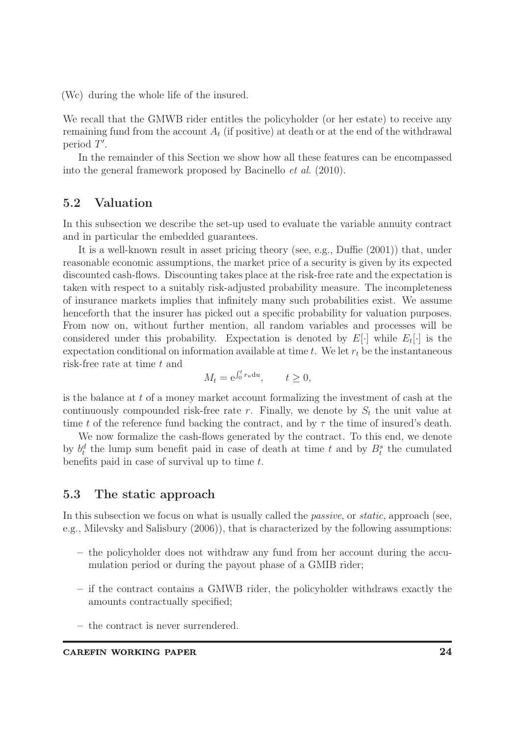(Wc) during the whole life of the insured.

We recall that the GMWB rider entitles the policyholder (or her estate) to receive any remaining fund from the account  $A_t$  (if positive) at death or at the end of the withdrawal period  $T'$ .

In the remainder of this Section we show how all these features can be encompassed into the general framework proposed by Bacinello *et al.* (2010).

#### 5.2 Valuation

In this subsection we describe the set-up used to evaluate the variable annuity contract and in particular the embedded guarantees.

It is a well-known result in asset pricing theory (see, e.g., Duffie (2001)) that, under reasonable economic assumptions, the market price of a security is given by its expected discounted cash-flows. Discounting takes place at the risk-free rate and the expectation is taken with respect to a suitably risk-adjusted probability measure. The incompleteness of insurance markets implies that infinitely many such probabilities exist. We assume henceforth that the insurer has picked out a specific probability for valuation purposes. From now on, without further mention, all random variables and processes will be considered under this probability. Expectation is denoted by  $E[\cdot]$  while  $E_t[\cdot]$  is the expectation conditional on information available at time t. We let  $r_t$  be the instantaneous risk-free rate at time t and

$$
M_t = e^{\int_0^t r_u \mathrm{d}u}, \qquad t \ge 0,
$$

is the balance at  $t$  of a money market account formalizing the investment of cash at the continuously compounded risk-free rate r. Finally, we denote by  $S_t$  the unit value at time t of the reference fund backing the contract, and by  $\tau$  the time of insured's death.

We now formalize the cash-flows generated by the contract. To this end, we denote by  $b_t^d$  the lump sum benefit paid in case of death at time t and by  $B_t^s$  the cumulated benefits paid in case of survival up to time t.

#### 5.3 The static approach

In this subsection we focus on what is usually called the *passive*, or *static*, approach (see, e.g., Milevsky and Salisbury (2006)), that is characterized by the following assumptions:

- the policyholder does not withdraw any fund from her account during the accumulation period or during the payout phase of a GMIB rider;
- if the contract contains a GMWB rider, the policyholder withdraws exactly the amounts contractually specified;
- the contract is never surrendered.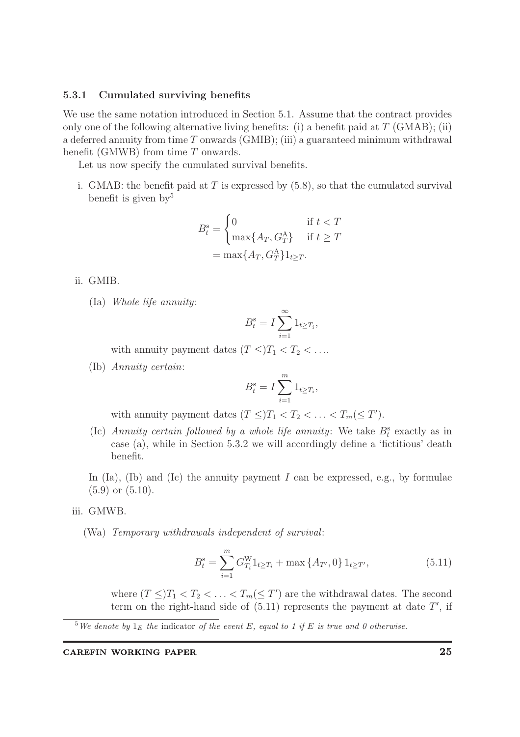#### 5.3.1 Cumulated surviving benefits

We use the same notation introduced in Section 5.1. Assume that the contract provides only one of the following alternative living benefits: (i) a benefit paid at  $T$  (GMAB); (ii) a deferred annuity from time  $T$  onwards (GMIB); (iii) a guaranteed minimum withdrawal benefit (GMWB) from time  $T$  onwards.

Let us now specify the cumulated survival benefits.

i. GMAB: the benefit paid at  $T$  is expressed by  $(5.8)$ , so that the cumulated survival benefit is given  $bv^5$ 

$$
B_t^s = \begin{cases} 0 & \text{if } t < T\\ \max\{A_T, G_T^A\} & \text{if } t \ge T \end{cases}
$$

$$
= \max\{A_T, G_T^A\} 1_{t \ge T}.
$$

#### ii. GMIB.

(Ia) *Whole life annuity*:

$$
B_t^{\rm s} = I \sum_{i=1}^{\infty} 1_{t \ge T_i},
$$

with annuity payment dates  $(T \leq) T_1 < T_2 < \ldots$ 

(Ib) *Annuity certain*:

$$
B_t^s = I \sum_{i=1}^m 1_{t \ge T_i},
$$

with annuity payment dates  $(T \leq) T_1 < T_2 < \ldots < T_m (\leq T')$ .

- (Ic) Annuity certain followed by a whole life annuity: We take  $B_t^s$  exactly as in case (a), while in Section 5.3.2 we will accordingly define a 'fictitious' death benefit.
- In (Ia), (Ib) and (Ic) the annuity payment  $I$  can be expressed, e.g., by formulae (5.9) or (5.10).

#### iii. GMWB.

(Wa) *Temporary withdrawals independent of survival*:

$$
B_t^s = \sum_{i=1}^m G_{T_i}^W 1_{t \ge T_i} + \max \{ A_{T'}, 0 \} 1_{t \ge T'}, \tag{5.11}
$$

where  $(T \leq)T_1 < T_2 < \ldots < T_m(\leq T')$  are the withdrawal dates. The second term on the right-hand side of  $(5.11)$  represents the payment at date  $T'$ , if

<sup>5</sup>We denote by  $1_E$  the indicator of the event E, equal to 1 if E is true and 0 otherwise.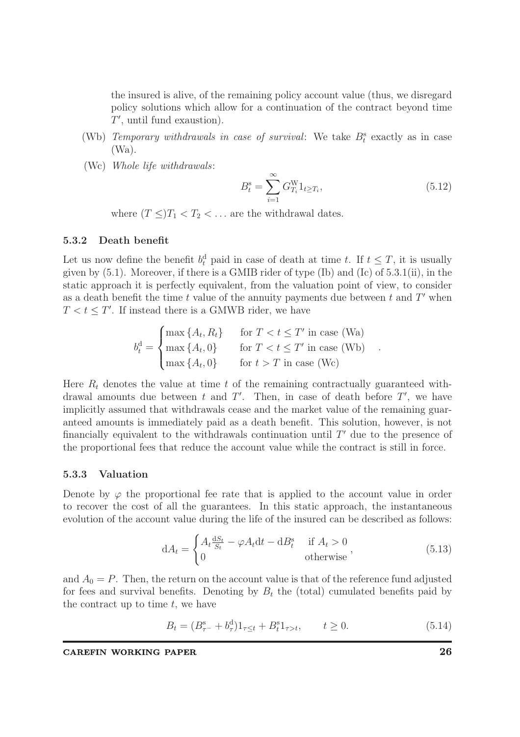the insured is alive, of the remaining policy account value (thus, we disregard policy solutions which allow for a continuation of the contract beyond time T ′ , until fund exaustion).

- (Wb) *Temporary withdrawals in case of survival*: We take  $B_t^s$  exactly as in case (Wa).
- (Wc) *Whole life withdrawals*:

$$
B_t^s = \sum_{i=1}^{\infty} G_{T_i}^{\mathcal{W}} 1_{t \ge T_i},\tag{5.12}
$$

.

where  $(T \leq) T_1 < T_2 < \dots$  are the withdrawal dates.

#### 5.3.2 Death benefit

Let us now define the benefit  $b_t^d$  paid in case of death at time t. If  $t \leq T$ , it is usually given by (5.1). Moreover, if there is a GMIB rider of type (Ib) and (Ic) of 5.3.1(ii), in the static approach it is perfectly equivalent, from the valuation point of view, to consider as a death benefit the time  $t$  value of the annuity payments due between  $t$  and  $T'$  when  $T < t \leq T'$ . If instead there is a GMWB rider, we have

$$
b_t^d = \begin{cases} \max\left\{A_t, R_t\right\} & \text{for } T < t \le T' \text{ in case (Wa)}\\ \max\left\{A_t, 0\right\} & \text{for } T < t \le T' \text{ in case (Wb)}\\ \max\left\{A_t, 0\right\} & \text{for } t > T \text{ in case (We)} \end{cases}
$$

Here  $R_t$  denotes the value at time t of the remaining contractually guaranteed withdrawal amounts due between t and  $T'$ . Then, in case of death before  $T'$ , we have implicitly assumed that withdrawals cease and the market value of the remaining guaranteed amounts is immediately paid as a death benefit. This solution, however, is not financially equivalent to the withdrawals continuation until  $T'$  due to the presence of the proportional fees that reduce the account value while the contract is still in force.

#### 5.3.3 Valuation

Denote by  $\varphi$  the proportional fee rate that is applied to the account value in order to recover the cost of all the guarantees. In this static approach, the instantaneous evolution of the account value during the life of the insured can be described as follows:

$$
dA_t = \begin{cases} A_t \frac{dS_t}{S_t} - \varphi A_t dt - dB_t^s & \text{if } A_t > 0\\ 0 & \text{otherwise} \end{cases}
$$
 (5.13)

and  $A_0 = P$ . Then, the return on the account value is that of the reference fund adjusted for fees and survival benefits. Denoting by  $B_t$  the (total) cumulated benefits paid by the contract up to time  $t$ , we have

$$
B_t = (B_{\tau^-}^s + b_{\tau}^d) 1_{\tau \le t} + B_t^s 1_{\tau > t}, \qquad t \ge 0.
$$
 (5.14)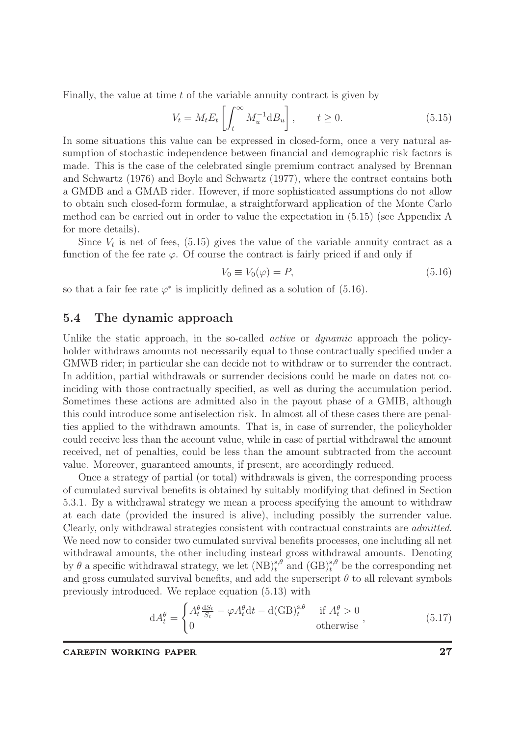Finally, the value at time  $t$  of the variable annuity contract is given by

$$
V_t = M_t E_t \left[ \int_t^{\infty} M_u^{-1} \mathrm{d}B_u \right], \qquad t \ge 0. \tag{5.15}
$$

In some situations this value can be expressed in closed-form, once a very natural assumption of stochastic independence between financial and demographic risk factors is made. This is the case of the celebrated single premium contract analysed by Brennan and Schwartz (1976) and Boyle and Schwartz (1977), where the contract contains both a GMDB and a GMAB rider. However, if more sophisticated assumptions do not allow to obtain such closed-form formulae, a straightforward application of the Monte Carlo method can be carried out in order to value the expectation in (5.15) (see Appendix A for more details).

Since  $V_t$  is net of fees, (5.15) gives the value of the variable annuity contract as a function of the fee rate  $\varphi$ . Of course the contract is fairly priced if and only if

$$
V_0 \equiv V_0(\varphi) = P,\tag{5.16}
$$

so that a fair fee rate  $\varphi^*$  is implicitly defined as a solution of (5.16).

#### 5.4 The dynamic approach

Unlike the static approach, in the so-called *active* or *dynamic* approach the policyholder withdraws amounts not necessarily equal to those contractually specified under a GMWB rider; in particular she can decide not to withdraw or to surrender the contract. In addition, partial withdrawals or surrender decisions could be made on dates not coinciding with those contractually specified, as well as during the accumulation period. Sometimes these actions are admitted also in the payout phase of a GMIB, although this could introduce some antiselection risk. In almost all of these cases there are penalties applied to the withdrawn amounts. That is, in case of surrender, the policyholder could receive less than the account value, while in case of partial withdrawal the amount received, net of penalties, could be less than the amount subtracted from the account value. Moreover, guaranteed amounts, if present, are accordingly reduced.

Once a strategy of partial (or total) withdrawals is given, the corresponding process of cumulated survival benefits is obtained by suitably modifying that defined in Section 5.3.1. By a withdrawal strategy we mean a process specifying the amount to withdraw at each date (provided the insured is alive), including possibly the surrender value. Clearly, only withdrawal strategies consistent with contractual constraints are *admitted*. We need now to consider two cumulated survival benefits processes, one including all net withdrawal amounts, the other including instead gross withdrawal amounts. Denoting by  $\theta$  a specific withdrawal strategy, we let  $(NB)_{t}^{s,\theta}$  and  $(GB)_{t}^{s,\theta}$  be the corresponding net and gross cumulated survival benefits, and add the superscript  $\theta$  to all relevant symbols previously introduced. We replace equation (5.13) with

$$
dA_t^{\theta} = \begin{cases} A_t^{\theta} \frac{dS_t}{S_t} - \varphi A_t^{\theta} dt - d(GB)_t^{s,\theta} & \text{if } A_t^{\theta} > 0\\ 0 & \text{otherwise} \end{cases}
$$
 (5.17)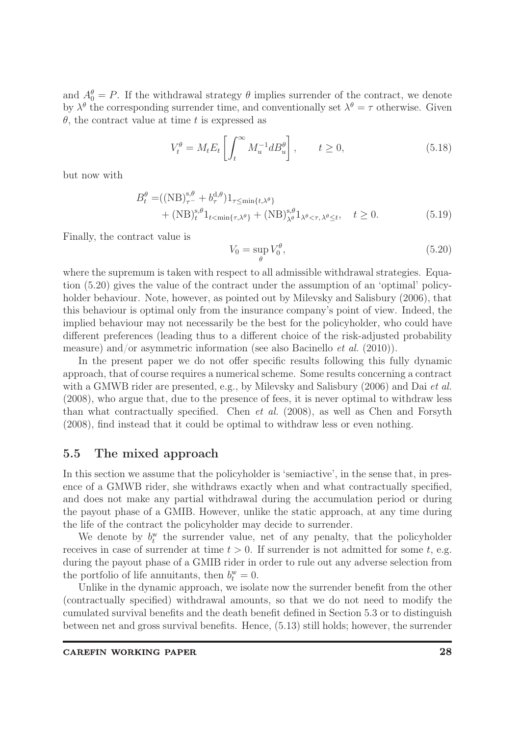and  $A_0^{\theta} = P$ . If the withdrawal strategy  $\theta$  implies surrender of the contract, we denote by  $\lambda^{\theta}$  the corresponding surrender time, and conventionally set  $\lambda^{\theta} = \tau$  otherwise. Given  $θ$ , the contract value at time t is expressed as

$$
V_t^{\theta} = M_t E_t \left[ \int_t^{\infty} M_u^{-1} dB_u^{\theta} \right], \qquad t \ge 0,
$$
\n(5.18)

but now with

$$
B_t^{\theta} = ((NB)_{\tau^-}^{s,\theta} + b_{\tau}^{d,\theta})1_{\tau \le \min\{t,\lambda^{\theta}\}} + (NB)_{\lambda^{\theta}}^{s,\theta}1_{\lambda^{\theta} < \tau, \lambda^{\theta} \le t}, \quad t \ge 0.
$$
 (5.19)

Finally, the contract value is

$$
V_0 = \sup_{\theta} V_0^{\theta},\tag{5.20}
$$

where the supremum is taken with respect to all admissible withdrawal strategies. Equation (5.20) gives the value of the contract under the assumption of an 'optimal' policyholder behaviour. Note, however, as pointed out by Milevsky and Salisbury (2006), that this behaviour is optimal only from the insurance company's point of view. Indeed, the implied behaviour may not necessarily be the best for the policyholder, who could have different preferences (leading thus to a different choice of the risk-adjusted probability measure) and/or asymmetric information (see also Bacinello *et al.* (2010)).

In the present paper we do not offer specific results following this fully dynamic approach, that of course requires a numerical scheme. Some results concerning a contract with a GMWB rider are presented, e.g., by Milevsky and Salisbury (2006) and Dai *et al.* (2008), who argue that, due to the presence of fees, it is never optimal to withdraw less than what contractually specified. Chen *et al.* (2008), as well as Chen and Forsyth (2008), find instead that it could be optimal to withdraw less or even nothing.

#### 5.5 The mixed approach

In this section we assume that the policyholder is 'semiactive', in the sense that, in presence of a GMWB rider, she withdraws exactly when and what contractually specified, and does not make any partial withdrawal during the accumulation period or during the payout phase of a GMIB. However, unlike the static approach, at any time during the life of the contract the policyholder may decide to surrender.

We denote by  $b_t^{\text{w}}$  the surrender value, net of any penalty, that the policyholder receives in case of surrender at time  $t > 0$ . If surrender is not admitted for some t, e.g. during the payout phase of a GMIB rider in order to rule out any adverse selection from the portfolio of life annuitants, then  $b_t^{\mathbf{w}} = 0$ .

Unlike in the dynamic approach, we isolate now the surrender benefit from the other (contractually specified) withdrawal amounts, so that we do not need to modify the cumulated survival benefits and the death benefit defined in Section 5.3 or to distinguish between net and gross survival benefits. Hence, (5.13) still holds; however, the surrender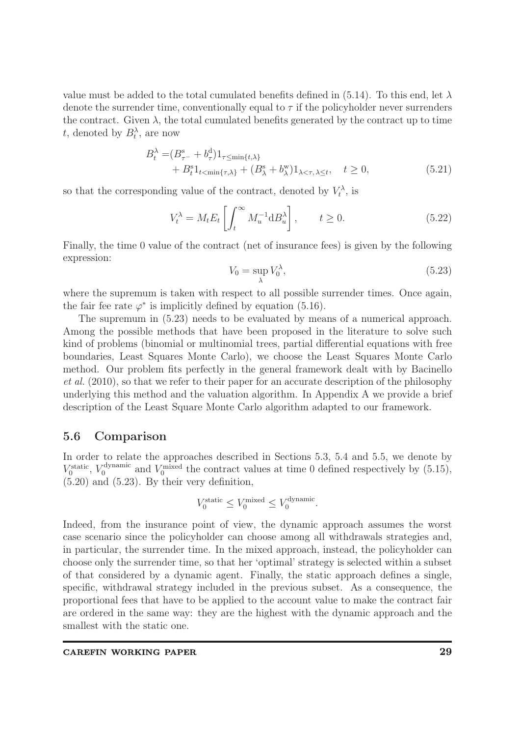value must be added to the total cumulated benefits defined in (5.14). To this end, let  $\lambda$ denote the surrender time, conventionally equal to  $\tau$  if the policyholder never surrenders the contract. Given  $\lambda$ , the total cumulated benefits generated by the contract up to time t, denoted by  $B_t^{\lambda}$ , are now

$$
B_t^{\lambda} = (B_{\tau^-}^s + b_{\tau}^d) 1_{\tau \le \min\{t,\lambda\}} + B_t^s 1_{t < \min\{\tau,\lambda\}} + (B_\lambda^s + b_\lambda^w) 1_{\lambda < \tau,\lambda \le t}, \quad t \ge 0,
$$
\n(5.21)

so that the corresponding value of the contract, denoted by  $V_t^{\lambda}$ , is

$$
V_t^{\lambda} = M_t E_t \left[ \int_t^{\infty} M_u^{-1} dB_u^{\lambda} \right], \qquad t \ge 0.
$$
 (5.22)

Finally, the time 0 value of the contract (net of insurance fees) is given by the following expression:

$$
V_0 = \sup_{\lambda} V_0^{\lambda},\tag{5.23}
$$

where the supremum is taken with respect to all possible surrender times. Once again, the fair fee rate  $\varphi^*$  is implicitly defined by equation (5.16).

The supremum in (5.23) needs to be evaluated by means of a numerical approach. Among the possible methods that have been proposed in the literature to solve such kind of problems (binomial or multinomial trees, partial differential equations with free boundaries, Least Squares Monte Carlo), we choose the Least Squares Monte Carlo method. Our problem fits perfectly in the general framework dealt with by Bacinello *et al.* (2010), so that we refer to their paper for an accurate description of the philosophy underlying this method and the valuation algorithm. In Appendix A we provide a brief description of the Least Square Monte Carlo algorithm adapted to our framework.

#### 5.6 Comparison

In order to relate the approaches described in Sections 5.3, 5.4 and 5.5, we denote by  $V_0^{\text{static}}$ ,  $V_0^{\text{dynamic}}$ <sup>dynamic</sup> and  $V_0^{\text{mixed}}$  the contract values at time 0 defined respectively by  $(5.15)$ , (5.20) and (5.23). By their very definition,

$$
V_0^{\text{static}} \le V_0^{\text{mixed}} \le V_0^{\text{dynamic}}.
$$

Indeed, from the insurance point of view, the dynamic approach assumes the worst case scenario since the policyholder can choose among all withdrawals strategies and, in particular, the surrender time. In the mixed approach, instead, the policyholder can choose only the surrender time, so that her 'optimal' strategy is selected within a subset of that considered by a dynamic agent. Finally, the static approach defines a single, specific, withdrawal strategy included in the previous subset. As a consequence, the proportional fees that have to be applied to the account value to make the contract fair are ordered in the same way: they are the highest with the dynamic approach and the smallest with the static one.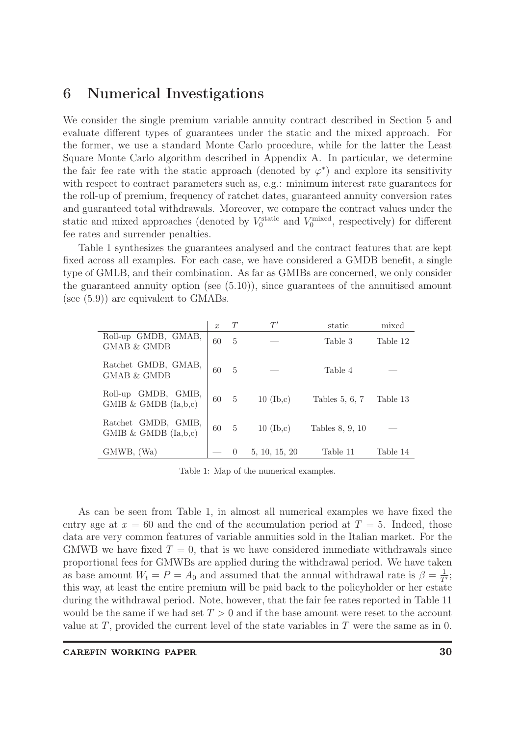## 6 Numerical Investigations

We consider the single premium variable annuity contract described in Section 5 and evaluate different types of guarantees under the static and the mixed approach. For the former, we use a standard Monte Carlo procedure, while for the latter the Least Square Monte Carlo algorithm described in Appendix A. In particular, we determine the fair fee rate with the static approach (denoted by  $\varphi^*$ ) and explore its sensitivity with respect to contract parameters such as, e.g.: minimum interest rate guarantees for the roll-up of premium, frequency of ratchet dates, guaranteed annuity conversion rates and guaranteed total withdrawals. Moreover, we compare the contract values under the static and mixed approaches (denoted by  $V_0^{\text{static}}$  and  $V_0^{\text{mixed}}$ , respectively) for different fee rates and surrender penalties.

Table 1 synthesizes the guarantees analysed and the contract features that are kept fixed across all examples. For each case, we have considered a GMDB benefit, a single type of GMLB, and their combination. As far as GMIBs are concerned, we only consider the guaranteed annuity option (see (5.10)), since guarantees of the annuitised amount (see (5.9)) are equivalent to GMABs.

|                                                 | $\boldsymbol{x}$ | T        | T'                  | static          | mixed    |
|-------------------------------------------------|------------------|----------|---------------------|-----------------|----------|
| Roll-up GMDB, GMAB,<br>GMAB & GMDB              | 60               | 5        |                     | Table 3         | Table 12 |
| Ratchet GMDB, GMAB,<br>GMAB & GMDB              | 60               | 5        |                     | Table 4         |          |
| Roll-up GMDB, GMIB,<br>GMIB $&$ GMDB $(Ia,b,c)$ | 60               | 5        | $10 \text{ (lb,c)}$ | Tables 5, 6, 7  | Table 13 |
| Ratchet GMDB, GMIB,<br>GMIB $&$ GMDB $(Ia,b,c)$ | 60               | 5        | $10 \text{ (lb,c)}$ | Tables 8, 9, 10 |          |
| GMWB, (Wa)                                      |                  | $\theta$ | 5, 10, 15, 20       | Table 11        | Table 14 |

Table 1: Map of the numerical examples.

As can be seen from Table 1, in almost all numerical examples we have fixed the entry age at  $x = 60$  and the end of the accumulation period at  $T = 5$ . Indeed, those data are very common features of variable annuities sold in the Italian market. For the GMWB we have fixed  $T = 0$ , that is we have considered immediate withdrawals since proportional fees for GMWBs are applied during the withdrawal period. We have taken as base amount  $W_t = P = A_0$  and assumed that the annual withdrawal rate is  $\beta = \frac{1}{T'}$ ; this way, at least the entire premium will be paid back to the policyholder or her estate during the withdrawal period. Note, however, that the fair fee rates reported in Table 11 would be the same if we had set  $T > 0$  and if the base amount were reset to the account value at  $T$ , provided the current level of the state variables in  $T$  were the same as in 0.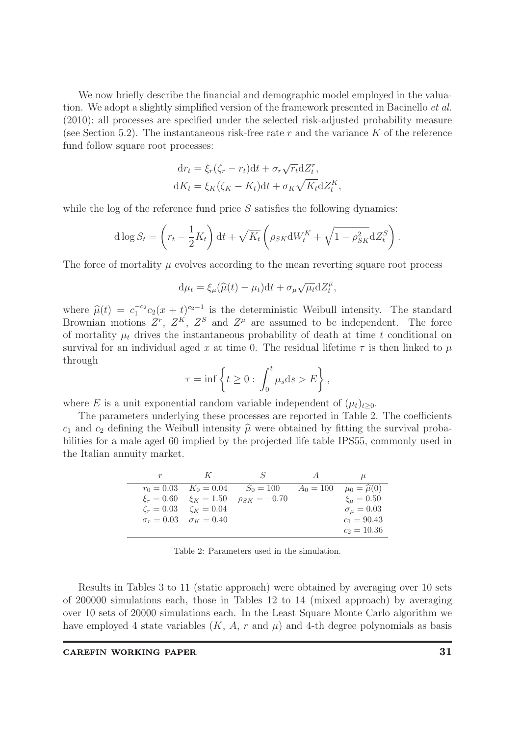We now briefly describe the financial and demographic model employed in the valuation. We adopt a slightly simplified version of the framework presented in Bacinello *et al.* (2010); all processes are specified under the selected risk-adjusted probability measure (see Section 5.2). The instantaneous risk-free rate  $r$  and the variance  $K$  of the reference fund follow square root processes:

$$
dr_t = \xi_r(\zeta_r - r_t)dt + \sigma_r \sqrt{r_t} dZ_t^r,
$$
  

$$
dK_t = \xi_K(\zeta_K - K_t)dt + \sigma_K \sqrt{K_t} dZ_t^K,
$$

while the log of the reference fund price  $S$  satisfies the following dynamics:

d log 
$$
S_t
$$
 =  $\left(r_t - \frac{1}{2}K_t\right)dt + \sqrt{K_t}\left(\rho_{SK}dW_t^K + \sqrt{1 - \rho_{SK}^2}dZ_t^S\right).$ 

The force of mortality  $\mu$  evolves according to the mean reverting square root process

$$
d\mu_t = \xi_\mu(\widehat{\mu}(t) - \mu_t)dt + \sigma_\mu \sqrt{\mu_t} dZ_t^\mu,
$$

where  $\widehat{\mu}(t) = c_1^{-c_2}$  $\int_{1}^{-c_2} c_2(x+t)^{c_2-1}$  is the deterministic Weibull intensity. The standard Brownian motions  $Z^r$ ,  $Z^K$ ,  $Z^S$  and  $Z^{\mu}$  are assumed to be independent. The force of mortality  $\mu_t$  drives the instantaneous probability of death at time t conditional on survival for an individual aged x at time 0. The residual lifetime  $\tau$  is then linked to  $\mu$ through

$$
\tau = \inf \left\{ t \ge 0 : \int_0^t \mu_s \mathrm{d}s > E \right\},\,
$$

where E is a unit exponential random variable independent of  $(\mu_t)_{t>0}$ .

The parameters underlying these processes are reported in Table 2. The coefficients  $c_1$  and  $c_2$  defining the Weibull intensity  $\hat{\mu}$  were obtained by fitting the survival probabilities for a male aged 60 implied by the projected life table IPS55, commonly used in the Italian annuity market.

| $\mathcal{r}$ |                                         | $S^-$               |             | μ                          |
|---------------|-----------------------------------------|---------------------|-------------|----------------------------|
|               | $r_0 = 0.03$ $K_0 = 0.04$               | $S_0 = 100$         | $A_0 = 100$ | $\mu_0 = \widehat{\mu}(0)$ |
|               | $\xi_r = 0.60$ $\xi_K = 1.50$           | $\rho_{SK} = -0.70$ |             | $\xi_u = 0.50$             |
|               | $\zeta_r = 0.03 \quad \zeta_K = 0.04$   |                     |             | $\sigma_{\mu}=0.03$        |
|               | $\sigma_r = 0.03 \quad \sigma_K = 0.40$ |                     |             | $c_1 = 90.43$              |
|               |                                         |                     |             | $c_2 = 10.36$              |

Table 2: Parameters used in the simulation.

Results in Tables 3 to 11 (static approach) were obtained by averaging over 10 sets of 200000 simulations each, those in Tables 12 to 14 (mixed approach) by averaging over 10 sets of 20000 simulations each. In the Least Square Monte Carlo algorithm we have employed 4 state variables  $(K, A, r \text{ and } \mu)$  and 4-th degree polynomials as basis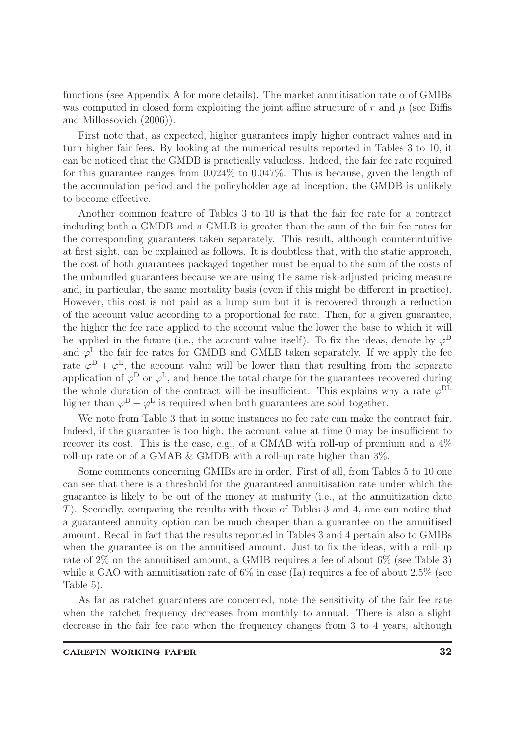functions (see Appendix A for more details). The market annuitisation rate  $\alpha$  of GMIBs was computed in closed form exploiting the joint affine structure of r and  $\mu$  (see Biffis and Millossovich (2006)).

First note that, as expected, higher guarantees imply higher contract values and in turn higher fair fees. By looking at the numerical results reported in Tables 3 to 10, it can be noticed that the GMDB is practically valueless. Indeed, the fair fee rate required for this guarantee ranges from 0.024% to 0.047%. This is because, given the length of the accumulation period and the policyholder age at inception, the GMDB is unlikely to become effective.

Another common feature of Tables 3 to 10 is that the fair fee rate for a contract including both a GMDB and a GMLB is greater than the sum of the fair fee rates for the corresponding guarantees taken separately. This result, although counterintuitive at first sight, can be explained as follows. It is doubtless that, with the static approach, the cost of both guarantees packaged together must be equal to the sum of the costs of the unbundled guarantees because we are using the same risk-adjusted pricing measure and, in particular, the same mortality basis (even if this might be different in practice). However, this cost is not paid as a lump sum but it is recovered through a reduction of the account value according to a proportional fee rate. Then, for a given guarantee, the higher the fee rate applied to the account value the lower the base to which it will be applied in the future (i.e., the account value itself). To fix the ideas, denote by  $\varphi^D$ and  $\varphi^L$  the fair fee rates for GMDB and GMLB taken separately. If we apply the fee rate  $\varphi^D + \varphi^L$ , the account value will be lower than that resulting from the separate application of  $\varphi^D$  or  $\varphi^L$ , and hence the total charge for the guarantees recovered during the whole duration of the contract will be insufficient. This explains why a rate  $\varphi^{\text{DL}}$ higher than  $\varphi^D + \varphi^L$  is required when both guarantees are sold together.

We note from Table 3 that in some instances no fee rate can make the contract fair. Indeed, if the guarantee is too high, the account value at time 0 may be insufficient to recover its cost. This is the case, e.g., of a GMAB with roll-up of premium and a 4% roll-up rate or of a GMAB & GMDB with a roll-up rate higher than 3%.

Some comments concerning GMIBs are in order. First of all, from Tables 5 to 10 one can see that there is a threshold for the guaranteed annuitisation rate under which the guarantee is likely to be out of the money at maturity (i.e., at the annuitization date T). Secondly, comparing the results with those of Tables 3 and 4, one can notice that a guaranteed annuity option can be much cheaper than a guarantee on the annuitised amount. Recall in fact that the results reported in Tables 3 and 4 pertain also to GMIBs when the guarantee is on the annuitised amount. Just to fix the ideas, with a roll-up rate of 2% on the annuitised amount, a GMIB requires a fee of about 6% (see Table 3) while a GAO with annuitisation rate of  $6\%$  in case (Ia) requires a fee of about 2.5% (see Table 5).

As far as ratchet guarantees are concerned, note the sensitivity of the fair fee rate when the ratchet frequency decreases from monthly to annual. There is also a slight decrease in the fair fee rate when the frequency changes from 3 to 4 years, although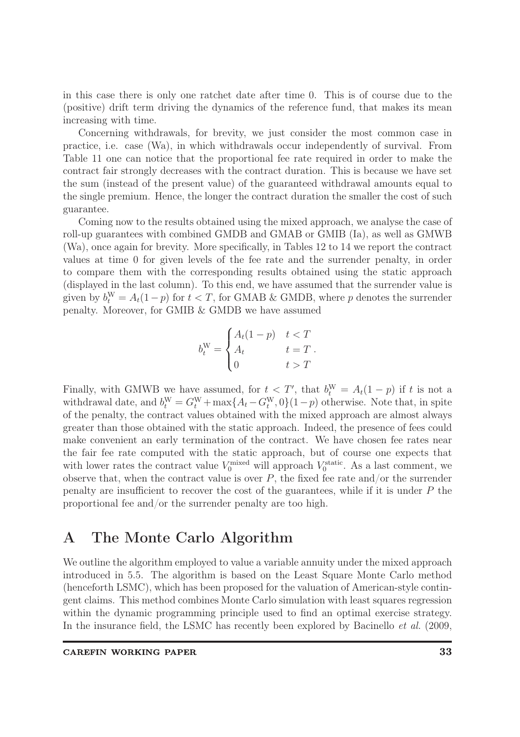in this case there is only one ratchet date after time 0. This is of course due to the (positive) drift term driving the dynamics of the reference fund, that makes its mean increasing with time.

Concerning withdrawals, for brevity, we just consider the most common case in practice, i.e. case (Wa), in which withdrawals occur independently of survival. From Table 11 one can notice that the proportional fee rate required in order to make the contract fair strongly decreases with the contract duration. This is because we have set the sum (instead of the present value) of the guaranteed withdrawal amounts equal to the single premium. Hence, the longer the contract duration the smaller the cost of such guarantee.

Coming now to the results obtained using the mixed approach, we analyse the case of roll-up guarantees with combined GMDB and GMAB or GMIB (Ia), as well as GMWB (Wa), once again for brevity. More specifically, in Tables 12 to 14 we report the contract values at time 0 for given levels of the fee rate and the surrender penalty, in order to compare them with the corresponding results obtained using the static approach (displayed in the last column). To this end, we have assumed that the surrender value is given by  $b_t^W = A_t(1-p)$  for  $t < T$ , for GMAB & GMDB, where p denotes the surrender penalty. Moreover, for GMIB & GMDB we have assumed

$$
b_t^{\mathbf{W}} = \begin{cases} A_t(1-p) & t < T \\ A_t & t = T \\ 0 & t > T \end{cases}
$$

Finally, with GMWB we have assumed, for  $t < T'$ , that  $b_t^W = A_t(1 - p)$  if t is not a withdrawal date, and  $b_t^W = G_t^W + \max\{A_t - G_t^W, 0\} (1 - p)$  otherwise. Note that, in spite of the penalty, the contract values obtained with the mixed approach are almost always greater than those obtained with the static approach. Indeed, the presence of fees could make convenient an early termination of the contract. We have chosen fee rates near the fair fee rate computed with the static approach, but of course one expects that with lower rates the contract value  $V_0^{\text{mixed}}$  will approach  $V_0^{\text{static}}$ . As a last comment, we observe that, when the contract value is over  $P$ , the fixed fee rate and/or the surrender penalty are insufficient to recover the cost of the guarantees, while if it is under  $P$  the proportional fee and/or the surrender penalty are too high.

## A The Monte Carlo Algorithm

We outline the algorithm employed to value a variable annuity under the mixed approach introduced in 5.5. The algorithm is based on the Least Square Monte Carlo method (henceforth LSMC), which has been proposed for the valuation of American-style contingent claims. This method combines Monte Carlo simulation with least squares regression within the dynamic programming principle used to find an optimal exercise strategy. In the insurance field, the LSMC has recently been explored by Bacinello *et al.* (2009,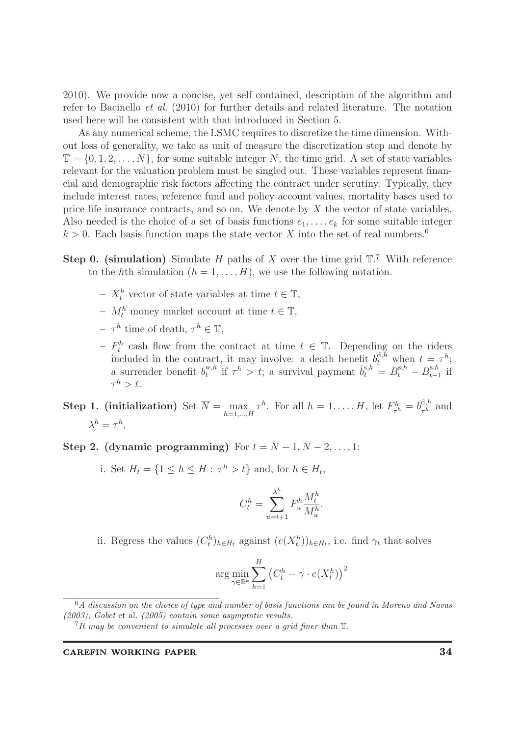2010). We provide now a concise, yet self contained, description of the algorithm and refer to Bacinello *et al.* (2010) for further details and related literature. The notation used here will be consistent with that introduced in Section 5.

As any numerical scheme, the LSMC requires to discretize the time dimension. Without loss of generality, we take as unit of measure the discretization step and denote by  $\mathbb{T} = \{0, 1, 2, \ldots, N\}$ , for some suitable integer N, the time grid. A set of state variables relevant for the valuation problem must be singled out. These variables represent financial and demographic risk factors affecting the contract under scrutiny. Typically, they include interest rates, reference fund and policy account values, mortality bases used to price life insurance contracts, and so on. We denote by X the vector of state variables. Also needed is the choice of a set of basis functions  $e_1, \ldots, e_k$  for some suitable integer  $k > 0$ . Each basis function maps the state vector X into the set of real numbers.<sup>6</sup>

- Step 0. (simulation) Simulate H paths of X over the time grid  $\mathbb{T}$ .<sup>7</sup> With reference to the hth simulation  $(h = 1, \ldots, H)$ , we use the following notation.
	- $X_t^h$  vector of state variables at time  $t \in \mathbb{T}$ ,
	- $M_t^h$  money market account at time  $t \in \mathbb{T}$ ,
	- $\tau^h$  time of death,  $\tau^h \in \mathbb{T}$ ,
	- $F_t^h$  cash flow from the contract at time  $t \in \mathbb{T}$ . Depending on the riders included in the contract, it may involve: a death benefit  $b_t^{d,h}$  when  $t = \tau^h$ ; a surrender benefit  $b_t^{\mathbf{w},h}$ <sup>w,h</sup> if  $\tau^h > t$ ; a survival payment  $\bar{b}_t^{s,h} = B_t^{s,h} - B_{t-1}^{s,h}$  $_{t-1}^{\mathrm{s},n}$  if  $\tau^h > t.$

**Step 1. (initialization)** Set  $\overline{N} = \max_{h=1,\dots,H} \tau^h$ . For all  $h = 1,\dots,H$ , let  $F^h_{\tau^h}$  $\frac{h}{\tau^h} = b_{\tau^h}^{\mathrm{d},h}$  $_{\tau^h}^{\mathfrak{a},n}$  and  $\lambda^h=\tau^h.$ 

Step 2. (dynamic programming) For  $t = \overline{N} - 1, \overline{N} - 2, \ldots, 1$ :

i. Set  $H_t = \{1 \leq h \leq H : \tau^h > t\}$  and, for  $h \in H_t$ ,

$$
C_t^h = \sum_{u=t+1}^{\lambda^h} F_u^h \frac{M_t^h}{M_u^h}.
$$

ii. Regress the values  $(C_t^h)_{h \in H_t}$  against  $(e(X_t^h))_{h \in H_t}$ , i.e. find  $\gamma_t$  that solves

$$
\arg\min_{\gamma \in \mathbb{R}^k} \sum_{h=1}^H \left( C_t^h - \gamma \cdot e(X_t^h) \right)^2
$$

 $6A$  discussion on the choice of type and number of basis functions can be found in Moreno and Navas (2003); Gobet et al. (2005) contain some asymptotic results.

 $7$ It may be convenient to simulate all processes over a grid finer than  $\mathbb{T}$ .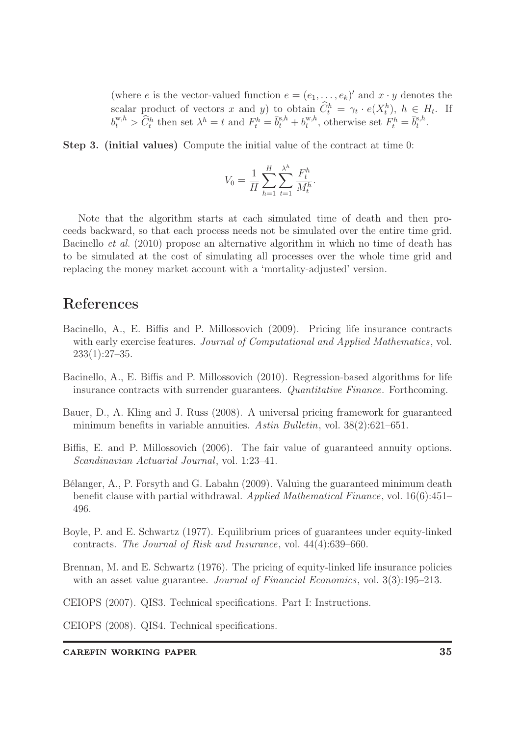(where e is the vector-valued function  $e = (e_1, \ldots, e_k)'$  and  $x \cdot y$  denotes the scalar product of vectors x and y) to obtain  $\hat{C}_t^h = \gamma_t \cdot e(X_t^h)$ ,  $h \in H_t$ . If  $b_t^{w,h} > \widehat{C}_t^h$  then set  $\lambda^h = t$  and  $F_t^h = \overline{b}_t^{s,h} + b_t^{w,h}$  $t^{w,h}$ , otherwise set  $F_t^h = \bar{b}_t^{s,h}$  $\frac{1}{t}$ .

Step 3. (initial values) Compute the initial value of the contract at time 0:

$$
V_0 = \frac{1}{H} \sum_{h=1}^{H} \sum_{t=1}^{\lambda^h} \frac{F_t^h}{M_t^h}.
$$

Note that the algorithm starts at each simulated time of death and then proceeds backward, so that each process needs not be simulated over the entire time grid. Bacinello *et al.* (2010) propose an alternative algorithm in which no time of death has to be simulated at the cost of simulating all processes over the whole time grid and replacing the money market account with a 'mortality-adjusted' version.

## References

- Bacinello, A., E. Biffis and P. Millossovich (2009). Pricing life insurance contracts with early exercise features. *Journal of Computational and Applied Mathematics*, vol.  $233(1):27-35.$
- Bacinello, A., E. Biffis and P. Millossovich (2010). Regression-based algorithms for life insurance contracts with surrender guarantees. *Quantitative Finance*. Forthcoming.
- Bauer, D., A. Kling and J. Russ (2008). A universal pricing framework for guaranteed minimum benefits in variable annuities. *Astin Bulletin*, vol. 38(2):621–651.
- Biffis, E. and P. Millossovich (2006). The fair value of guaranteed annuity options. *Scandinavian Actuarial Journal*, vol. 1:23–41.
- Bélanger, A., P. Forsyth and G. Labahn (2009). Valuing the guaranteed minimum death benefit clause with partial withdrawal. *Applied Mathematical Finance*, vol. 16(6):451– 496.
- Boyle, P. and E. Schwartz (1977). Equilibrium prices of guarantees under equity-linked contracts. *The Journal of Risk and Insurance*, vol. 44(4):639–660.
- Brennan, M. and E. Schwartz (1976). The pricing of equity-linked life insurance policies with an asset value guarantee. *Journal of Financial Economics*, vol. 3(3):195–213.

CEIOPS (2007). QIS3. Technical specifications. Part I: Instructions.

CEIOPS (2008). QIS4. Technical specifications.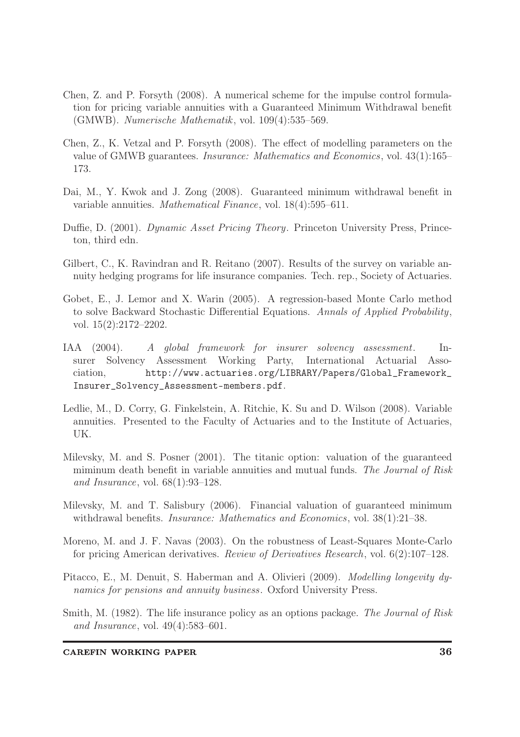- Chen, Z. and P. Forsyth (2008). A numerical scheme for the impulse control formulation for pricing variable annuities with a Guaranteed Minimum Withdrawal benefit (GMWB). *Numerische Mathematik*, vol. 109(4):535–569.
- Chen, Z., K. Vetzal and P. Forsyth (2008). The effect of modelling parameters on the value of GMWB guarantees. *Insurance: Mathematics and Economics*, vol. 43(1):165– 173.
- Dai, M., Y. Kwok and J. Zong (2008). Guaranteed minimum withdrawal benefit in variable annuities. *Mathematical Finance*, vol. 18(4):595–611.
- Duffie, D. (2001). *Dynamic Asset Pricing Theory*. Princeton University Press, Princeton, third edn.
- Gilbert, C., K. Ravindran and R. Reitano (2007). Results of the survey on variable annuity hedging programs for life insurance companies. Tech. rep., Society of Actuaries.
- Gobet, E., J. Lemor and X. Warin (2005). A regression-based Monte Carlo method to solve Backward Stochastic Differential Equations. *Annals of Applied Probability*, vol. 15(2):2172–2202.
- IAA (2004). *A global framework for insurer solvency assessment*. Insurer Solvency Assessment Working Party, International Actuarial Association, http://www.actuaries.org/LIBRARY/Papers/Global\_Framework\_ Insurer\_Solvency\_Assessment-members.pdf.
- Ledlie, M., D. Corry, G. Finkelstein, A. Ritchie, K. Su and D. Wilson (2008). Variable annuities. Presented to the Faculty of Actuaries and to the Institute of Actuaries, UK.
- Milevsky, M. and S. Posner (2001). The titanic option: valuation of the guaranteed miminum death benefit in variable annuities and mutual funds. *The Journal of Risk and Insurance*, vol. 68(1):93–128.
- Milevsky, M. and T. Salisbury (2006). Financial valuation of guaranteed minimum withdrawal benefits. *Insurance: Mathematics and Economics*, vol. 38(1):21–38.
- Moreno, M. and J. F. Navas (2003). On the robustness of Least-Squares Monte-Carlo for pricing American derivatives. *Review of Derivatives Research*, vol. 6(2):107–128.
- Pitacco, E., M. Denuit, S. Haberman and A. Olivieri (2009). *Modelling longevity dynamics for pensions and annuity business*. Oxford University Press.
- Smith, M. (1982). The life insurance policy as an options package. *The Journal of Risk and Insurance*, vol. 49(4):583–601.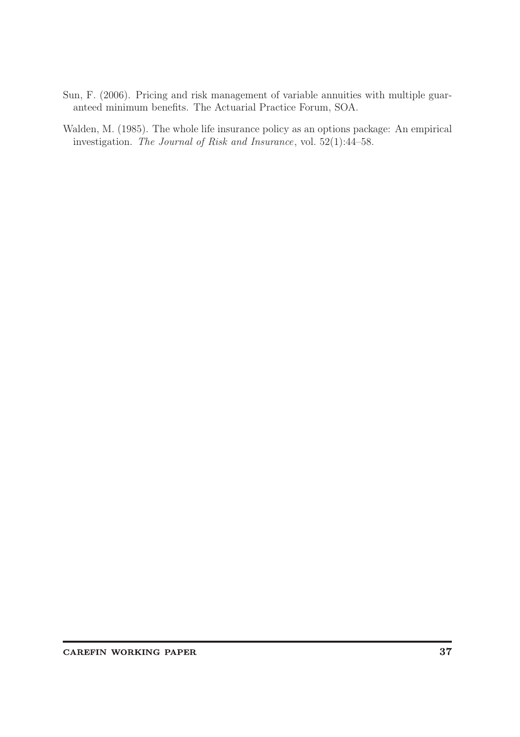- Sun, F. (2006). Pricing and risk management of variable annuities with multiple guaranteed minimum benefits. The Actuarial Practice Forum, SOA.
- Walden, M. (1985). The whole life insurance policy as an options package: An empirical investigation. *The Journal of Risk and Insurance*, vol. 52(1):44–58.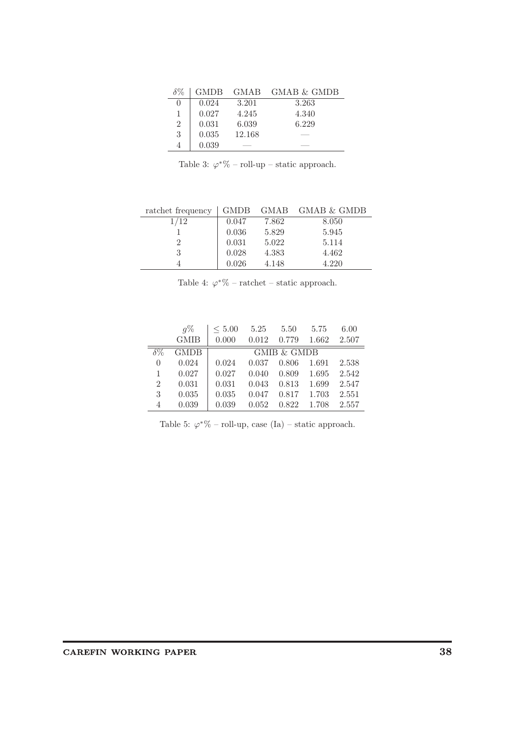| $\delta\%$     | GMDB  |        | GMAB GMAB & GMDB |
|----------------|-------|--------|------------------|
| 0              | 0.024 | 3.201  | 3.263            |
| 1              | 0.027 | 4.245  | 4.340            |
| $\overline{2}$ | 0.031 | 6.039  | 6.229            |
| 3              | 0.035 | 12.168 |                  |
| 4              | 0.039 |        |                  |

Table 3:  $\varphi^*$ % – roll-up – static approach.

| ratchet frequency |       |       | GMDB GMAB GMAB & GMDB |
|-------------------|-------|-------|-----------------------|
| 1/12              | 0.047 | 7.862 | 8.050                 |
|                   | 0.036 | 5.829 | 5.945                 |
| 9                 | 0.031 | 5.022 | 5.114                 |
| 3                 | 0.028 | 4.383 | 4.462                 |
|                   | 0.026 | 4.148 | 4.220                 |
|                   |       |       |                       |

Table 4:  $\varphi^*$ % – ratchet – static approach.

|                | $q\%$       | < 5.00 | 5.25  | 5.50                   | 5.75  | 6.00  |
|----------------|-------------|--------|-------|------------------------|-------|-------|
|                | <b>GMIB</b> | 0.000  | 0.012 | 0.779                  | 1.662 | 2.507 |
| $\delta\%$     | <b>GMDB</b> |        |       | <b>GMIB &amp; GMDB</b> |       |       |
| 0              | 0.024       | 0.024  | 0.037 | 0.806                  | 1.691 | 2.538 |
| 1              | 0.027       | 0.027  | 0.040 | 0.809                  | 1.695 | 2.542 |
| $\overline{2}$ | 0.031       | 0.031  | 0.043 | 0.813                  | 1.699 | 2.547 |
| 3              | 0.035       | 0.035  | 0.047 | 0.817                  | 1.703 | 2.551 |
| 4              | 0.039       | 0.039  | 0.052 | 0.822                  | 1.708 | 2.557 |

Table 5:  $\varphi^*$ % – roll-up, case (Ia) – static approach.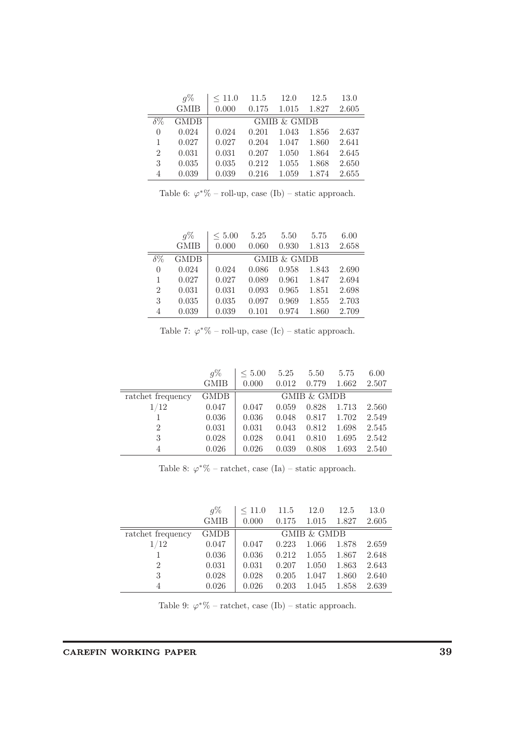|                             | $q\%$       | < 11.0 | 11.5  | 12.0                   | 12.5  | 13.0  |
|-----------------------------|-------------|--------|-------|------------------------|-------|-------|
|                             | <b>GMIB</b> | 0.000  | 0.175 | 1.015                  | 1.827 | 2.605 |
| δ%                          | <b>GMDB</b> |        |       | <b>GMIB &amp; GMDB</b> |       |       |
| 0                           | 0.024       | 0.024  | 0.201 | 1.043                  | 1.856 | 2.637 |
| 1                           | 0.027       | 0.027  | 0.204 | 1.047                  | 1.860 | 2.641 |
| $\mathcal{D}_{\mathcal{L}}$ | 0.031       | 0.031  | 0.207 | 1.050                  | 1.864 | 2.645 |
| 3                           | 0.035       | 0.035  | 0.212 | 1.055                  | 1.868 | 2.650 |
| 4                           | 0.039       | 0.039  | 0.216 | 1.059                  | 1.874 | 2.655 |

Table 6:  $\varphi^*$ % – roll-up, case (Ib) – static approach.

|                | $q\%$       | < 5.00 | 5.25  | 5.50                   | 5.75  | 6.00  |
|----------------|-------------|--------|-------|------------------------|-------|-------|
|                | <b>GMIB</b> | 0.000  | 0.060 | 0.930                  | 1.813 | 2.658 |
| $\delta\%$     | GMDB        |        |       | <b>GMIB &amp; GMDB</b> |       |       |
| 0              | 0.024       | 0.024  | 0.086 | 0.958                  | 1.843 | 2.690 |
| 1              | 0.027       | 0.027  | 0.089 | 0.961                  | 1.847 | 2.694 |
| $\overline{2}$ | 0.031       | 0.031  | 0.093 | 0.965                  | 1.851 | 2.698 |
| 3              | 0.035       | 0.035  | 0.097 | 0.969                  | 1.855 | 2.703 |
| 4              | 0.039       | 0.039  | 0.101 | 0.974                  | 1.860 | 2.709 |

Table 7:  $\varphi^*$ % – roll-up, case (Ic) – static approach.

|                   | $q\%$       | < 5.00 | 5.25  | 5.50                   | 5.75  | 6.00  |
|-------------------|-------------|--------|-------|------------------------|-------|-------|
|                   | <b>GMIB</b> | 0.000  | 0.012 | 0.779                  | 1.662 | 2.507 |
| ratchet frequency | <b>GMDB</b> |        |       | <b>GMIB &amp; GMDB</b> |       |       |
| 1/12              | 0.047       | 0.047  | 0.059 | 0.828                  | 1.713 | 2.560 |
|                   | 0.036       | 0.036  | 0.048 | 0.817                  | 1.702 | 2.549 |
| $\overline{2}$    | 0.031       | 0.031  | 0.043 | 0.812                  | 1.698 | 2.545 |
| 3                 | 0.028       | 0.028  | 0.041 | 0.810                  | 1.695 | 2.542 |
| 4                 | 0.026       | 0.026  | 0.039 | 0.808                  | 1.693 | 2.540 |

Table 8:  $\varphi^*$ % – ratchet, case (Ia) – static approach.

|                   | $g\%$       | < 11.0 | 11.5  | 12.0                   | 12.5  | 13.0  |
|-------------------|-------------|--------|-------|------------------------|-------|-------|
|                   | <b>GMIB</b> | 0.000  | 0.175 | 1.015                  | 1.827 | 2.605 |
| ratchet frequency | <b>GMDB</b> |        |       | <b>GMIB &amp; GMDB</b> |       |       |
| 1/12              | 0.047       | 0.047  | 0.223 | 1.066                  | 1.878 | 2.659 |
|                   | 0.036       | 0.036  | 0.212 | 1.055                  | 1.867 | 2.648 |
| $\overline{2}$    | 0.031       | 0.031  | 0.207 | 1.050                  | 1.863 | 2.643 |
| 3                 | 0.028       | 0.028  | 0.205 | 1.047                  | 1.860 | 2.640 |
| 4                 | 0.026       | 0.026  | 0.203 | 1.045                  | 1.858 | 2.639 |

Table 9:  $\varphi^*$ % – ratchet, case (Ib) – static approach.

 $\ddot{\phantom{a}}$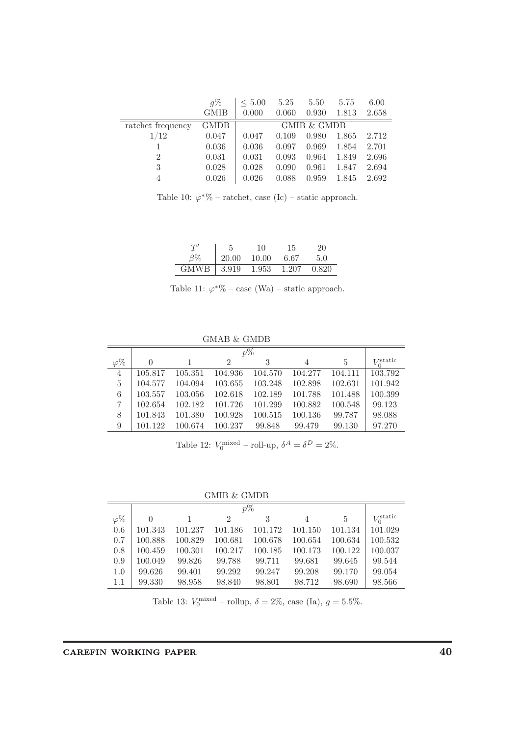|                   | $g\%$<br><b>GMIB</b> | < 5.00<br>0.000 | 5.25<br>0.060 | 5.50<br>0.930          | 5.75<br>1.813 | 6.00<br>2.658 |
|-------------------|----------------------|-----------------|---------------|------------------------|---------------|---------------|
| ratchet frequency | <b>GMDB</b>          |                 |               | <b>GMIB &amp; GMDB</b> |               |               |
| 1/12              | 0.047                | 0.047           | 0.109         | 0.980                  | 1.865         | 2.712         |
|                   | 0.036                | 0.036           | 0.097         | 0.969                  | 1.854         | 2.701         |
| $\overline{2}$    | 0.031                | 0.031           | 0.093         | 0.964                  | 1.849         | 2.696         |
| 3                 | 0.028                | 0.028           | 0.090         | 0.961                  | 1.847         | 2.694         |
| 4                 | 0.026                | 0.026           | 0.088         | 0.959                  | 1.845         | 2.692         |

Table 10:  $\varphi^*$ % – ratchet, case (Ic) – static approach.

|                | - 5   | 10    | 15    | 20    |
|----------------|-------|-------|-------|-------|
| BZ.            | 20.00 | 10.00 | 6.67  | -5.0  |
| $GMWB$   3.919 |       | 1.953 | 1.207 | 0.820 |

|  |  |  | Table 11: $\varphi^*\%$ – case (Wa) – static approach. |
|--|--|--|--------------------------------------------------------|
|  |  |  |                                                        |

 $\mathcal G\mathcal M\mathcal A\mathcal B$  &  $\mathcal G\mathcal M\mathcal D\mathcal B$ 

|                | $p\%$    |         |                             |         |         |                |                     |
|----------------|----------|---------|-----------------------------|---------|---------|----------------|---------------------|
| $\varphi\%$    | $\Omega$ |         | $\mathcal{D}_{\mathcal{A}}$ | 3       | 4       | $\overline{5}$ | $V^{\text{static}}$ |
| 4              | 105.817  | 105.351 | 104.936                     | 104.570 | 104.277 | 104.111        | 103.792             |
| $\overline{5}$ | 104.577  | 104.094 | 103.655                     | 103.248 | 102.898 | 102.631        | 101.942             |
| 6              | 103.557  | 103.056 | 102.618                     | 102.189 | 101.788 | 101.488        | 100.399             |
| $\overline{7}$ | 102.654  | 102.182 | 101.726                     | 101.299 | 100.882 | 100.548        | 99.123              |
| 8              | 101.843  | 101.380 | 100.928                     | 100.515 | 100.136 | 99.787         | 98.088              |
| 9              | 101.122  | 100.674 | 100.237                     | 99.848  | 99.479  | 99.130         | 97.270              |

Table 12:  $V_0^{\text{mixed}}$  – roll-up,  $\delta^A = \delta^D = 2\%$ .

GMIB $\&$  GMDB

|             | $p\%$    |         |         |         |         |         |                  |
|-------------|----------|---------|---------|---------|---------|---------|------------------|
| $\varphi\%$ | $\Omega$ |         | 2       | 3       | 4       | 5       | <b>I</b> /static |
| 0.6         | 101.343  | 101.237 | 101.186 | 101.172 | 101.150 | 101.134 | 101.029          |
| 0.7         | 100.888  | 100.829 | 100.681 | 100.678 | 100.654 | 100.634 | 100.532          |
| 0.8         | 100.459  | 100.301 | 100.217 | 100.185 | 100.173 | 100.122 | 100.037          |
| 0.9         | 100.049  | 99.826  | 99.788  | 99.711  | 99.681  | 99.645  | 99.544           |
| 1.0         | 99.626   | 99.401  | 99.292  | 99.247  | 99.208  | 99.170  | 99.054           |
| $1.1\,$     | 99.330   | 98.958  | 98.840  | 98.801  | 98.712  | 98.690  | 98.566           |

Table 13:  $V_0^{\text{mixed}}$  – rollup,  $\delta = 2\%$ , case (Ia),  $g = 5.5\%$ .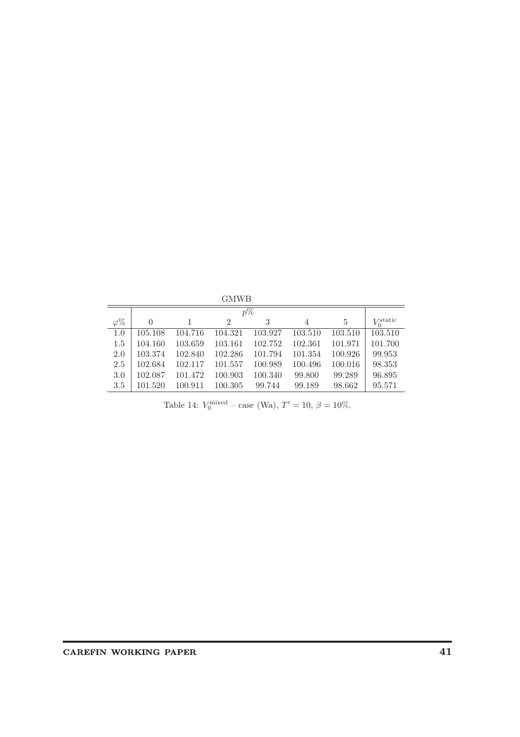|                  | <b>UIVE VV D</b> |         |         |         |         |         |                  |
|------------------|------------------|---------|---------|---------|---------|---------|------------------|
|                  | $p\%$            |         |         |         |         |         |                  |
| $\varphi\%$      | $\theta$         |         | 2       | 3       | 4       | 5       | <b>T</b> /static |
| $\overline{1.0}$ | 105.108          | 104.716 | 104.321 | 103.927 | 103.510 | 103.510 | 103.510          |
| 1.5              | 104.160          | 103.659 | 103.161 | 102.752 | 102.361 | 101.971 | 101.700          |
| 2.0              | 103.374          | 102.840 | 102.286 | 101.794 | 101.354 | 100.926 | 99.953           |
| 2.5              | 102.684          | 102.117 | 101.557 | 100.989 | 100.496 | 100.016 | 98.353           |
| 3.0              | 102.087          | 101.472 | 100.903 | 100.340 | 99.800  | 99.289  | 96.895           |
| 3.5              | 101.520          | 100.911 | 100.305 | 99.744  | 99.189  | 98.662  | 95.571           |

GMWB

Table 14:  $V_0^{\text{mixed}} - \text{case (Wa)}, T' = 10, \beta = 10\%.$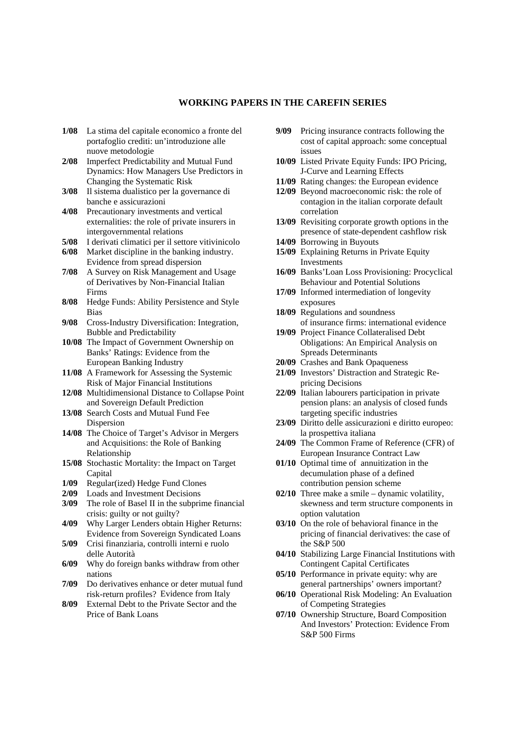#### **WORKING PAPERS IN THE CAREFIN SERIES**

- **1/08** La stima del capitale economico a fronte del portafoglio crediti: un'introduzione alle nuove metodologie
- **2/08** Imperfect Predictability and Mutual Fund Dynamics: How Managers Use Predictors in Changing the Systematic Risk
- **3/08** Il sistema dualistico per la governance di banche e assicurazioni

**4/08** Precautionary investments and vertical externalities: the role of private insurers in intergovernmental relations

- **5/08** I derivati climatici per il settore vitivinicolo
- **6/08** Market discipline in the banking industry. Evidence from spread dispersion
- **7/08** A Survey on Risk Management and Usage of Derivatives by Non-Financial Italian Firms
- **8/08** Hedge Funds: Ability Persistence and Style Bias
- **9/08** Cross-Industry Diversification: Integration, Bubble and Predictability
- **10/08** The Impact of Government Ownership on Banks' Ratings: Evidence from the European Banking Industry
- **11/08** A Framework for Assessing the Systemic Risk of Major Financial Institutions
- **12/08** Multidimensional Distance to Collapse Point and Sovereign Default Prediction
- **13/08** Search Costs and Mutual Fund Fee Dispersion
- **14/08** The Choice of Target's Advisor in Mergers and Acquisitions: the Role of Banking Relationship
- **15/08** Stochastic Mortality: the Impact on Target Capital
- **1/09** Regular(ized) Hedge Fund Clones
- **2/09** Loads and Investment Decisions
- **3/09** The role of Basel II in the subprime financial crisis: guilty or not guilty?
- **4/09** Why Larger Lenders obtain Higher Returns: Evidence from Sovereign Syndicated Loans
- **5/09** Crisi finanziaria, controlli interni e ruolo delle Autorità
- **6/09** Why do foreign banks withdraw from other nations
- **7/09** Do derivatives enhance or deter mutual fund risk-return profiles? Evidence from Italy
- **8/09** External Debt to the Private Sector and the Price of Bank Loans
- **9/09** Pricing insurance contracts following the cost of capital approach: some conceptual issues
- **10/09** Listed Private Equity Funds: IPO Pricing, J-Curve and Learning Effects
- **11/09** Rating changes: the European evidence
- **12/09** Beyond macroeconomic risk: the role of contagion in the italian corporate default correlation
- **13/09** Revisiting corporate growth options in the presence of state-dependent cashflow risk
- **14/09** Borrowing in Buyouts
- **15/09** Explaining Returns in Private Equity Investments
- **16/09** Banks'Loan Loss Provisioning: Procyclical Behaviour and Potential Solutions
- **17/09** Informed intermediation of longevity exposures
- **18/09** Regulations and soundness of insurance firms: international evidence
- **19/09** Project Finance Collateralised Debt Obligations: An Empirical Analysis on Spreads Determinants
- **20/09** Crashes and Bank Opaqueness
- **21/09** Investors' Distraction and Strategic Repricing Decisions
- **22/09** Italian labourers participation in private pension plans: an analysis of closed funds targeting specific industries
- **23/09** Diritto delle assicurazioni e diritto europeo: la prospettiva italiana
- **24/09** The Common Frame of Reference (CFR) of European Insurance Contract Law
- **01/10** Optimal time of annuitization in the decumulation phase of a defined contribution pension scheme
- **02/10** Three make a smile dynamic volatility, skewness and term structure components in option valutation
- **03/10** On the role of behavioral finance in the pricing of financial derivatives: the case of the S&P 500
- **04/10** Stabilizing Large Financial Institutions with Contingent Capital Certificates
- **05/10** Performance in private equity: why are general partnerships' owners important?
- **06/10** Operational Risk Modeling: An Evaluation of Competing Strategies
- **07/10** Ownership Structure, Board Composition And Investors' Protection: Evidence From S&P 500 Firms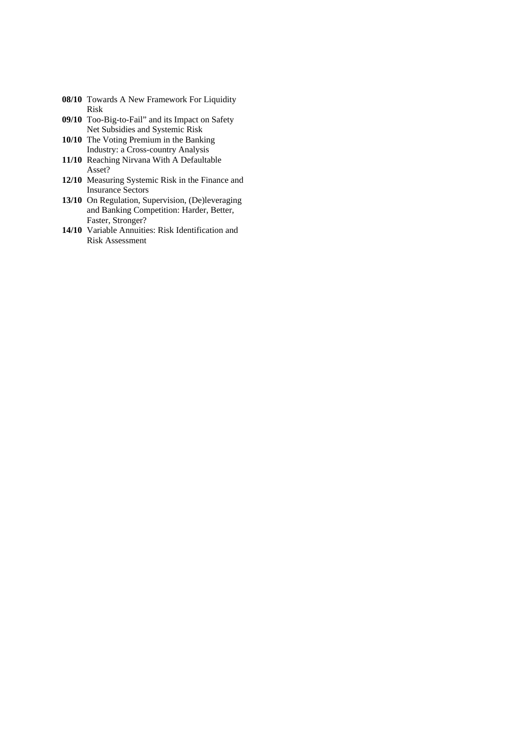- **08/10** Towards A New Framework For Liquidity Risk
- **09/10** Too-Big-to-Fail" and its Impact on Safety Net Subsidies and Systemic Risk
- **10/10** The Voting Premium in the Banking Industry: a Cross-country Analysis
- **11/10** Reaching Nirvana With A Defaultable Asset?
- **12/10** Measuring Systemic Risk in the Finance and Insurance Sectors
- **13/10** On Regulation, Supervision, (De)leveraging and Banking Competition: Harder, Better, Faster, Stronger?
- **14/10** Variable Annuities: Risk Identification and Risk Assessment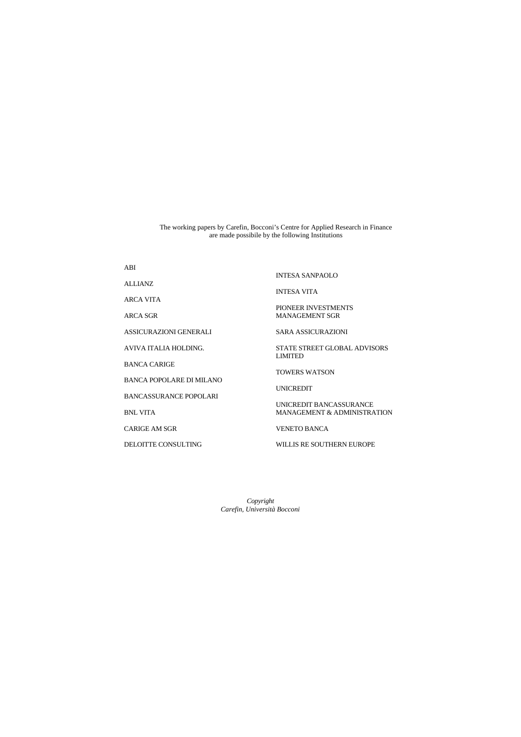The working papers by Carefin, Bocconi's Centre for Applied Research in Finance are made possibile by the following Institutions

| ABI                      |                                              |
|--------------------------|----------------------------------------------|
|                          | <b>INTESA SANPAOLO</b>                       |
| ALLIANZ.                 | <b>INTESA VITA</b>                           |
| ARCA VITA                |                                              |
| ARCA SGR                 | PIONEER INVESTMENTS<br><b>MANAGEMENT SGR</b> |
|                          |                                              |
| ASSICURAZIONI GENERALI   | SARA ASSICURAZIONI                           |
| AVIVA ITALIA HOLDING.    | STATE STREET GLOBAL ADVISORS                 |
|                          | <b>LIMITED</b>                               |
| <b>BANCA CARIGE</b>      | <b>TOWERS WATSON</b>                         |
| BANCA POPOLARE DI MILANO |                                              |
| BANCASSURANCE POPOLARI   | <b>UNICREDIT</b>                             |
|                          | UNICREDIT BANCASSURANCE                      |
| <b>BNL VITA</b>          | <b>MANAGEMENT &amp; ADMINISTRATION</b>       |
| <b>CARIGE AM SGR</b>     | <b>VENETO BANCA</b>                          |
| DELOITTE CONSULTING      | WILLIS RE SOUTHERN EUROPE                    |

*Copyright Carefin, Università Bocconi*